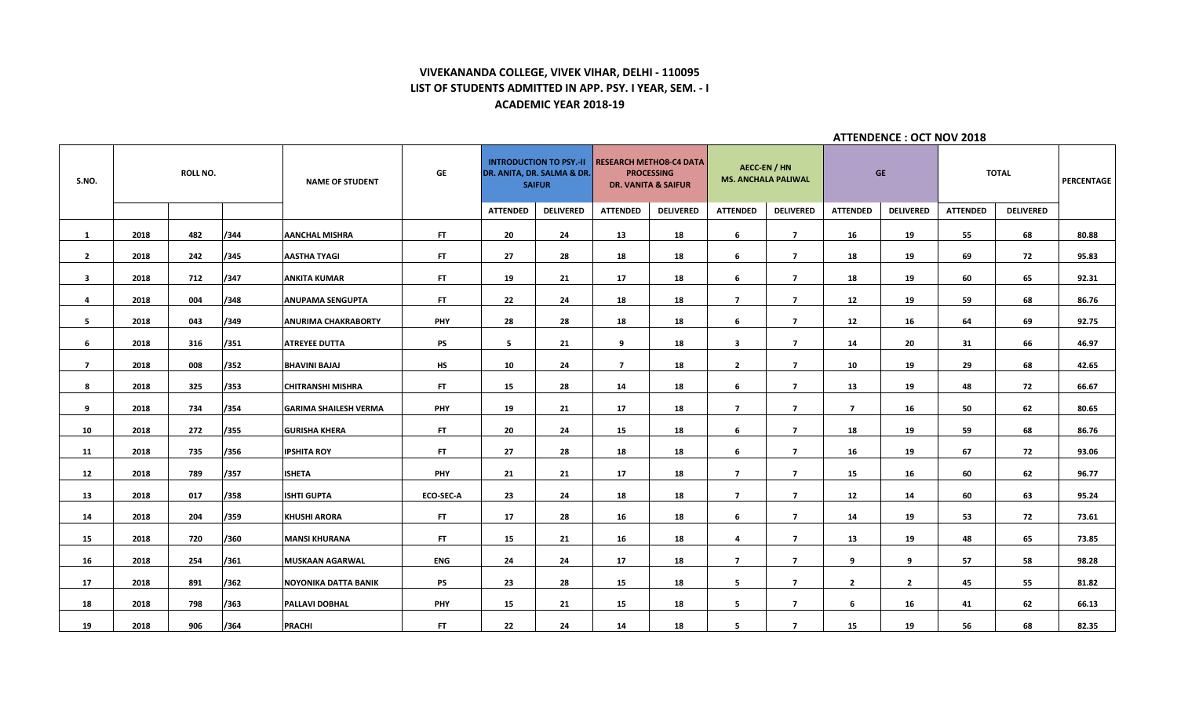# **VIVEKANANDA COLLEGE, VIVEK VIHAR, DELHI - 110095 LIST OF STUDENTS ADMITTED IN APP. PSY. I YEAR, SEM. - I ACADEMIC YEAR 2018-19**

**ATTENDENCE : OCT NOV 2018**

| S.NO.                   |      | <b>ROLL NO.</b> |      | <b>NAME OF STUDENT</b>       | GE               |                 | <b>INTRODUCTION TO PSY.-II</b><br>DR. ANITA, DR. SALMA & DR.<br><b>SAIFUR</b> |                 | <b>RESEARCH METHO8-C4 DATA</b><br><b>PROCESSING</b><br><b>DR. VANITA &amp; SAIFUR</b> | <b>AECC-EN / HN</b>     | <b>MS. ANCHALA PALIWAL</b> |                 | <b>GE</b>        |                 | <b>TOTAL</b>     | PERCENTAGE |
|-------------------------|------|-----------------|------|------------------------------|------------------|-----------------|-------------------------------------------------------------------------------|-----------------|---------------------------------------------------------------------------------------|-------------------------|----------------------------|-----------------|------------------|-----------------|------------------|------------|
|                         |      |                 |      |                              |                  | <b>ATTENDED</b> | <b>DELIVERED</b>                                                              | <b>ATTENDED</b> | <b>DELIVERED</b>                                                                      | <b>ATTENDED</b>         | <b>DELIVERED</b>           | <b>ATTENDED</b> | <b>DELIVERED</b> | <b>ATTENDED</b> | <b>DELIVERED</b> |            |
| $\mathbf{1}$            | 2018 | 482             | /344 | <b>AANCHAL MISHRA</b>        | FT.              | 20              | 24                                                                            | 13              | 18                                                                                    | 6                       | $\overline{7}$             | 16              | 19               | 55              | 68               | 80.88      |
| $\overline{2}$          | 2018 | 242             | /345 | <b>AASTHA TYAGI</b>          | FT.              | 27              | 28                                                                            | 18              | 18                                                                                    | 6                       | $\overline{7}$             | 18              | 19               | 69              | 72               | 95.83      |
| $\overline{\mathbf{3}}$ | 2018 | 712             | /347 | <b>ANKITA KUMAR</b>          | FT.              | 19              | 21                                                                            | 17              | 18                                                                                    | 6                       | $\overline{7}$             | 18              | 19               | 60              | 65               | 92.31      |
| 4                       | 2018 | 004             | /348 | <b>ANUPAMA SENGUPTA</b>      | <b>FT</b>        | 22              | 24                                                                            | 18              | 18                                                                                    | $\overline{7}$          | $\overline{7}$             | 12              | 19               | 59              | 68               | 86.76      |
| 5                       | 2018 | 043             | /349 | <b>ANURIMA CHAKRABORTY</b>   | <b>PHY</b>       | 28              | 28                                                                            | 18              | 18                                                                                    | 6                       | $\overline{7}$             | 12              | 16               | 64              | 69               | 92.75      |
| 6                       | 2018 | 316             | /351 | <b>ATREYEE DUTTA</b>         | <b>PS</b>        | 5               | 21                                                                            | 9               | 18                                                                                    | $\overline{\mathbf{3}}$ | $\overline{7}$             | 14              | 20               | 31              | 66               | 46.97      |
| $\overline{7}$          | 2018 | 008             | /352 | <b>BHAVINI BAJAJ</b>         | <b>HS</b>        | 10              | 24                                                                            | $\overline{7}$  | 18                                                                                    | $\mathbf{2}$            | $\overline{7}$             | 10              | 19               | 29              | 68               | 42.65      |
| 8                       | 2018 | 325             | /353 | <b>CHITRANSHI MISHRA</b>     | FT.              | 15              | 28                                                                            | 14              | 18                                                                                    | 6                       | $\overline{7}$             | 13              | 19               | 48              | 72               | 66.67      |
| 9                       | 2018 | 734             | /354 | <b>GARIMA SHAILESH VERMA</b> | <b>PHY</b>       | 19              | 21                                                                            | 17              | 18                                                                                    | $\overline{7}$          | $\overline{7}$             | $\overline{7}$  | 16               | 50              | 62               | 80.65      |
| 10                      | 2018 | 272             | /355 | <b>GURISHA KHERA</b>         | FT.              | 20              | 24                                                                            | 15              | 18                                                                                    | 6                       | $\overline{7}$             | 18              | 19               | 59              | 68               | 86.76      |
| 11                      | 2018 | 735             | /356 | <b>IPSHITA ROY</b>           | FT.              | 27              | 28                                                                            | 18              | 18                                                                                    | 6                       | $\overline{7}$             | 16              | 19               | 67              | 72               | 93.06      |
| 12                      | 2018 | 789             | /357 | <b>ISHETA</b>                | <b>PHY</b>       | 21              | 21                                                                            | 17              | 18                                                                                    | $\overline{7}$          | $\overline{7}$             | 15              | 16               | 60              | 62               | 96.77      |
| 13                      | 2018 | 017             | /358 | <b>ISHTI GUPTA</b>           | <b>ECO-SEC-A</b> | 23              | 24                                                                            | 18              | 18                                                                                    | $\overline{7}$          | $\overline{7}$             | 12              | 14               | 60              | 63               | 95.24      |
| 14                      | 2018 | 204             | /359 | <b>KHUSHI ARORA</b>          | FT.              | 17              | 28                                                                            | 16              | 18                                                                                    | 6                       | $\overline{7}$             | 14              | 19               | 53              | 72               | 73.61      |
| 15                      | 2018 | 720             | /360 | <b>MANSI KHURANA</b>         | FT.              | 15              | 21                                                                            | 16              | 18                                                                                    | 4                       | $\overline{7}$             | 13              | 19               | 48              | 65               | 73.85      |
| 16                      | 2018 | 254             | /361 | <b>MUSKAAN AGARWAL</b>       | <b>ENG</b>       | 24              | 24                                                                            | 17              | 18                                                                                    | $\overline{7}$          | $\overline{7}$             | 9               | 9                | 57              | 58               | 98.28      |
|                         |      |                 |      |                              |                  |                 |                                                                               |                 |                                                                                       |                         |                            |                 |                  |                 |                  |            |
| 17                      | 2018 | 891             | /362 | <b>NOYONIKA DATTA BANIK</b>  | <b>PS</b>        | 23              | 28                                                                            | 15              | 18                                                                                    | 5                       | $\overline{7}$             | $\overline{2}$  | $\overline{2}$   | 45              | 55               | 81.82      |
| 18                      | 2018 | 798             | /363 | PALLAVI DOBHAL               | <b>PHY</b>       | 15              | 21                                                                            | 15              | 18                                                                                    | 5                       | $\overline{7}$             | 6               | 16               | 41              | 62               | 66.13      |
| 19                      | 2018 | 906             | /364 | <b>PRACHI</b>                | FT.              | 22              | 24                                                                            | 14              | 18                                                                                    | 5                       | $\overline{7}$             | 15              | 19               | 56              | 68               | 82.35      |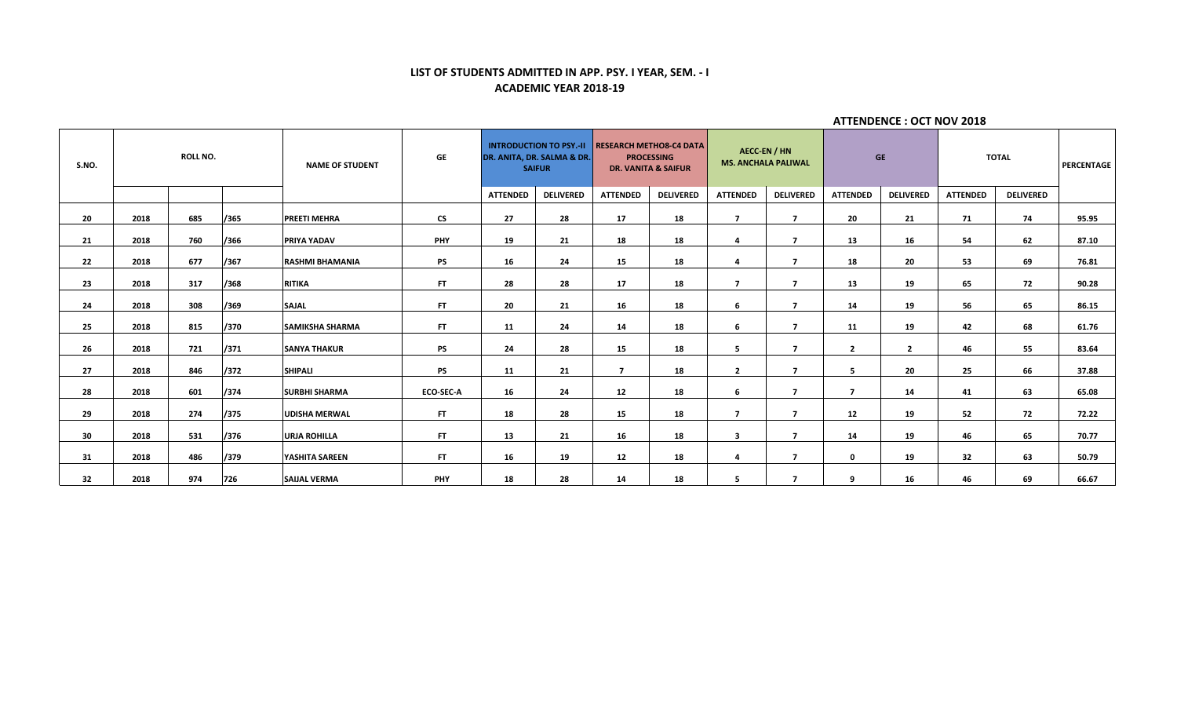# **LIST OF STUDENTS ADMITTED IN APP. PSY. I YEAR, SEM. - I ACADEMIC YEAR 2018-19**

| S.NO. |      | <b>ROLL NO.</b> |      | <b>NAME OF STUDENT</b> | <b>GE</b>        |                 | <b>INTRODUCTION TO PSY.-II</b><br>DR. ANITA, DR. SALMA & DR.<br><b>SAIFUR</b> |                 | <b>RESEARCH METHOS-C4 DATA</b><br><b>PROCESSING</b><br><b>DR. VANITA &amp; SAIFUR</b> |                 | <b>AECC-EN / HN</b><br><b>MS. ANCHALA PALIWAL</b> |                 | <b>GE</b>        |                 | <b>TOTAL</b>     | <b>PERCENTAGE</b> |
|-------|------|-----------------|------|------------------------|------------------|-----------------|-------------------------------------------------------------------------------|-----------------|---------------------------------------------------------------------------------------|-----------------|---------------------------------------------------|-----------------|------------------|-----------------|------------------|-------------------|
|       |      |                 |      |                        |                  | <b>ATTENDED</b> | <b>DELIVERED</b>                                                              | <b>ATTENDED</b> | <b>DELIVERED</b>                                                                      | <b>ATTENDED</b> | <b>DELIVERED</b>                                  | <b>ATTENDED</b> | <b>DELIVERED</b> | <b>ATTENDED</b> | <b>DELIVERED</b> |                   |
| 20    | 2018 | 685             | /365 | <b>PREETI MEHRA</b>    | <b>CS</b>        | 27              | 28                                                                            | 17              | 18                                                                                    | $\overline{7}$  | $\overline{7}$                                    | 20              | 21               | 71              | 74               | 95.95             |
| 21    | 2018 | 760             | /366 | <b>PRIYA YADAV</b>     | <b>PHY</b>       | 19              | 21                                                                            | 18              | 18                                                                                    | 4               | $\overline{7}$                                    | 13              | 16               | 54              | 62               | 87.10             |
| 22    | 2018 | 677             | /367 | <b>RASHMI BHAMANIA</b> | <b>PS</b>        | 16              | 24                                                                            | 15              | 18                                                                                    | 4               | $\overline{7}$                                    | 18              | 20               | 53              | 69               | 76.81             |
| 23    | 2018 | 317             | /368 | <b>RITIKA</b>          | FT.              | 28              | 28                                                                            | 17              | 18                                                                                    | $\overline{7}$  | $\overline{7}$                                    | 13              | 19               | 65              | 72               | 90.28             |
| 24    | 2018 | 308             | /369 | <b>SAJAL</b>           | FT.              | 20              | 21                                                                            | 16              | 18                                                                                    | 6               | $\overline{7}$                                    | 14              | 19               | 56              | 65               | 86.15             |
| 25    | 2018 | 815             | /370 | <b>SAMIKSHA SHARMA</b> | FT.              | 11              | 24                                                                            | 14              | 18                                                                                    | 6               | $\overline{7}$                                    | 11              | 19               | 42              | 68               | 61.76             |
| 26    | 2018 | 721             | /371 | <b>SANYA THAKUR</b>    | <b>PS</b>        | 24              | 28                                                                            | 15              | 18                                                                                    | 5               | $\overline{7}$                                    | $\overline{2}$  | $\overline{2}$   | 46              | 55               | 83.64             |
| 27    | 2018 | 846             | /372 | <b>SHIPALI</b>         | <b>PS</b>        | 11              | 21                                                                            | $\overline{7}$  | 18                                                                                    | $\mathbf{2}$    | $\overline{ }$                                    | 5               | 20               | 25              | 66               | 37.88             |
| 28    | 2018 | 601             | /374 | <b>SURBHI SHARMA</b>   | <b>ECO-SEC-A</b> | 16              | 24                                                                            | 12              | 18                                                                                    | 6               | $\overline{7}$                                    | $\overline{7}$  | 14               | 41              | 63               | 65.08             |
| 29    | 2018 | 274             | /375 | <b>UDISHA MERWAL</b>   | FT.              | 18              | 28                                                                            | 15              | 18                                                                                    | $\overline{7}$  | $\overline{7}$                                    | 12              | 19               | 52              | 72               | 72.22             |
| 30    | 2018 | 531             | /376 | <b>URJA ROHILLA</b>    | FT.              | 13              | 21                                                                            | 16              | 18                                                                                    | 3               | $\overline{ }$                                    | 14              | 19               | 46              | 65               | 70.77             |
| 31    | 2018 | 486             | /379 | YASHITA SAREEN         | FT.              | 16              | 19                                                                            | 12              | 18                                                                                    | 4               | $\overline{ }$                                    | $\mathbf{0}$    | 19               | 32              | 63               | 50.79             |
| 32    | 2018 | 974             | 726  | <b>SAIJAL VERMA</b>    | <b>PHY</b>       | 18              | 28                                                                            | 14              | 18                                                                                    | 5               | $\overline{ }$                                    | 9               | 16               | 46              | 69               | 66.67             |

**ATTENDENCE : OCT NOV 2018**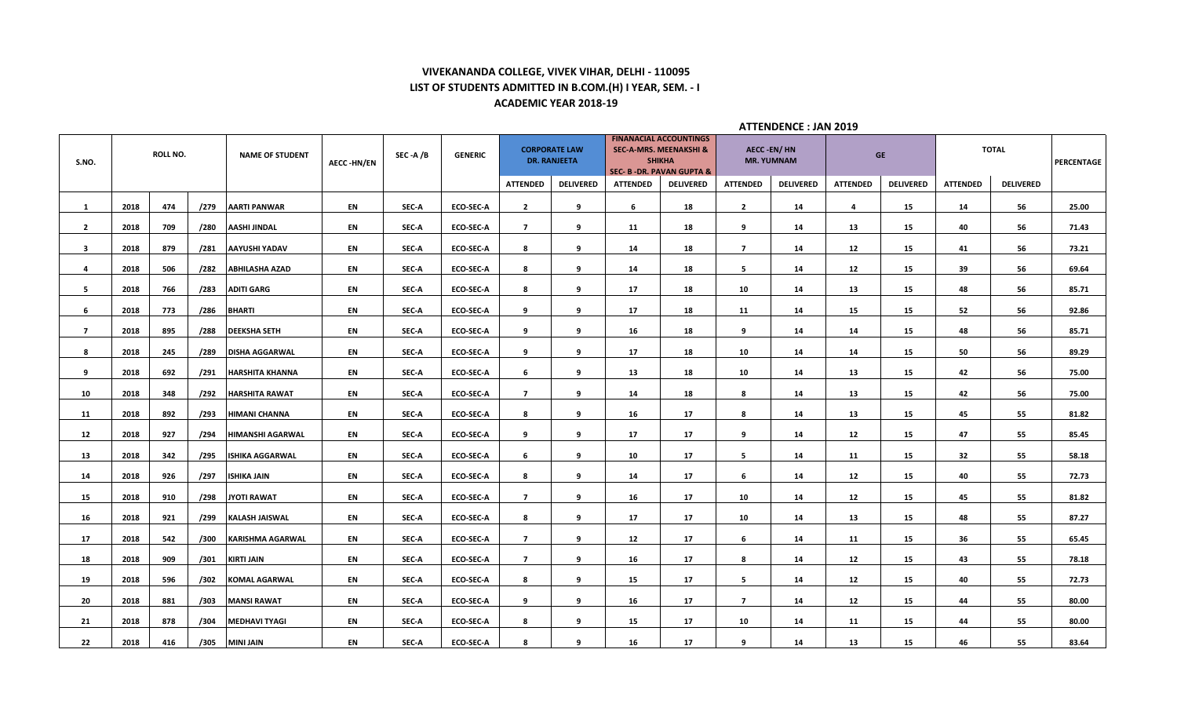# **VIVEKANANDA COLLEGE, VIVEK VIHAR, DELHI - 110095 LIST OF STUDENTS ADMITTED IN B.COM.(H) I YEAR, SEM. - I ACADEMIC YEAR 2018-19**

| S.NO.          |      | <b>ROLL NO.</b> |      | <b>NAME OF STUDENT</b>  | <b>AECC-HN/EN</b> | SEC-A/B | <b>GENERIC</b>   | <b>ATTENDED</b> | <b>CORPORATE LAW</b><br><b>DR. RANJEETA</b><br><b>DELIVERED</b> | <b>ATTENDED</b> | <b>FINANACIAL ACCOUNTINGS</b><br><b>SEC-A-MRS. MEENAKSHI &amp;</b><br><b>SHIKHA</b><br>SEC- B -DR. PAVAN GUPTA &<br><b>DELIVERED</b> | <b>ATTENDED</b> | AECC -EN/ HN<br><b>MR. YUMNAM</b><br><b>DELIVERED</b> | <b>ATTENDED</b> | <b>GE</b><br><b>DELIVERED</b> | <b>ATTENDED</b> | <b>TOTAL</b><br><b>DELIVERED</b> | PERCENTAGE |
|----------------|------|-----------------|------|-------------------------|-------------------|---------|------------------|-----------------|-----------------------------------------------------------------|-----------------|--------------------------------------------------------------------------------------------------------------------------------------|-----------------|-------------------------------------------------------|-----------------|-------------------------------|-----------------|----------------------------------|------------|
|                |      |                 |      |                         |                   |         |                  |                 |                                                                 |                 |                                                                                                                                      |                 |                                                       |                 |                               |                 |                                  |            |
| $\mathbf{1}$   | 2018 | 474             | /279 | <b>AARTI PANWAR</b>     | EN                | SEC-A   | ECO-SEC-A        | $\overline{2}$  | 9                                                               | 6               | 18                                                                                                                                   | $\overline{2}$  | 14                                                    | 4               | 15                            | 14              | 56                               | 25.00      |
| $\overline{2}$ | 2018 | 709             | /280 | <b>AASHI JINDAL</b>     | EN                | SEC-A   | ECO-SEC-A        | $\overline{7}$  | 9                                                               | 11              | 18                                                                                                                                   | 9               | 14                                                    | 13              | 15                            | 40              | 56                               | 71.43      |
| $\mathbf{3}$   | 2018 | 879             | /281 | <b>AAYUSHI YADAV</b>    | EN                | SEC-A   | <b>ECO-SEC-A</b> | 8               | 9                                                               | 14              | 18                                                                                                                                   | $\overline{7}$  | 14                                                    | 12              | 15                            | 41              | 56                               | 73.21      |
| 4              | 2018 | 506             | /282 | <b>ABHILASHA AZAD</b>   | EN                | SEC-A   | ECO-SEC-A        | 8               | 9                                                               | 14              | 18                                                                                                                                   | 5               | 14                                                    | 12              | 15                            | 39              | 56                               | 69.64      |
| 5              | 2018 | 766             | /283 | <b>ADITI GARG</b>       | EN                | SEC-A   | <b>ECO-SEC-A</b> | 8               | 9                                                               | 17              | 18                                                                                                                                   | 10              | 14                                                    | 13              | 15                            | 48              | 56                               | 85.71      |
| 6              | 2018 | 773             | /286 | <b>BHARTI</b>           | EN                | SEC-A   | <b>ECO-SEC-A</b> | 9               | 9                                                               | 17              | 18                                                                                                                                   | 11              | 14                                                    | 15              | 15                            | 52              | 56                               | 92.86      |
| 7 <sup>7</sup> | 2018 | 895             | /288 | <b>DEEKSHA SETH</b>     | EN                | SEC-A   | <b>ECO-SEC-A</b> | 9               | 9                                                               | 16              | 18                                                                                                                                   | 9               | 14                                                    | 14              | 15                            | 48              | 56                               | 85.71      |
| 8              | 2018 | 245             | /289 | <b>DISHA AGGARWAL</b>   | EN                | SEC-A   | ECO-SEC-A        | 9               | 9                                                               | 17              | 18                                                                                                                                   | 10              | 14                                                    | 14              | 15                            | 50              | 56                               | 89.29      |
| 9              | 2018 | 692             | /291 | <b>HARSHITA KHANNA</b>  | EN                | SEC-A   | ECO-SEC-A        | 6               | 9                                                               | 13              | 18                                                                                                                                   | 10              | 14                                                    | 13              | 15                            | 42              | 56                               | 75.00      |
| 10             | 2018 | 348             | /292 | <b>HARSHITA RAWAT</b>   | EN                | SEC-A   | <b>ECO-SEC-A</b> | $\overline{7}$  | 9                                                               | 14              | 18                                                                                                                                   | 8               | 14                                                    | 13              | 15                            | 42              | 56                               | 75.00      |
| 11             | 2018 | 892             | /293 | <b>HIMANI CHANNA</b>    | EN                | SEC-A   | <b>ECO-SEC-A</b> | 8               | 9                                                               | 16              | 17                                                                                                                                   | 8               | 14                                                    | 13              | 15                            | 45              | 55                               | 81.82      |
| 12             | 2018 | 927             | /294 | <b>HIMANSHI AGARWAL</b> | EN                | SEC-A   | <b>ECO-SEC-A</b> | 9               | 9                                                               | 17              | 17                                                                                                                                   | 9               | 14                                                    | 12              | 15                            | 47              | 55                               | 85.45      |
| 13             | 2018 | 342             | /295 | <b>ISHIKA AGGARWAL</b>  | EN                | SEC-A   | <b>ECO-SEC-A</b> | 6               | 9                                                               | 10              | 17                                                                                                                                   | 5               | 14                                                    | 11              | 15                            | 32              | 55                               | 58.18      |
| 14             | 2018 | 926             | /297 | <b>ISHIKA JAIN</b>      | <b>EN</b>         | SEC-A   | <b>ECO-SEC-A</b> | 8               | 9                                                               | 14              | 17                                                                                                                                   | - 6             | 14                                                    | 12              | 15                            | 40              | 55                               | 72.73      |
| 15             | 2018 | 910             | /298 | <b>JYOTI RAWAT</b>      | EN                | SEC-A   | ECO-SEC-A        | $\overline{7}$  | 9                                                               | 16              | 17                                                                                                                                   | 10              | 14                                                    | 12              | 15                            | 45              | 55                               | 81.82      |
| 16             | 2018 | 921             | /299 | <b>KALASH JAISWAL</b>   | EN                | SEC-A   | ECO-SEC-A        | 8               | 9                                                               | 17              | 17                                                                                                                                   | 10              | 14                                                    | 13              | 15                            | 48              | 55                               | 87.27      |
| 17             | 2018 | 542             | /300 | <b>KARISHMA AGARWAL</b> | EN                | SEC-A   | ECO-SEC-A        | $\overline{7}$  | 9                                                               | 12              | 17                                                                                                                                   | 6               | 14                                                    | 11              | 15                            | 36              | 55                               | 65.45      |
| 18             | 2018 | 909             | /301 | <b>KIRTI JAIN</b>       | EN                | SEC-A   | ECO-SEC-A        | $\overline{7}$  | 9                                                               | 16              | 17                                                                                                                                   | 8               | 14                                                    | 12              | 15                            | 43              | 55                               | 78.18      |
| 19             | 2018 | 596             | /302 | <b>KOMAL AGARWAL</b>    | EN                | SEC-A   | <b>ECO-SEC-A</b> | 8               | 9                                                               | 15              | 17                                                                                                                                   | 5               | 14                                                    | 12              | 15                            | 40              | 55                               | 72.73      |
| 20             | 2018 | 881             | /303 | <b>MANSI RAWAT</b>      | EN                | SEC-A   | ECO-SEC-A        | 9               | 9                                                               | 16              | 17                                                                                                                                   | $\overline{7}$  | 14                                                    | 12              | 15                            | 44              | 55                               | 80.00      |
| 21             | 2018 | 878             | /304 | <b>MEDHAVI TYAGI</b>    | EN                | SEC-A   | ECO-SEC-A        | 8               | 9                                                               | 15              | 17                                                                                                                                   | 10              | 14                                                    | 11              | 15                            | 44              | 55                               | 80.00      |
| 22             | 2018 | 416             |      | /305 MINI JAIN          | EN                | SEC-A   | <b>ECO-SEC-A</b> | 8               | 9                                                               | 16              | 17                                                                                                                                   | 9               | 14                                                    | 13              | 15                            | 46              | 55                               | 83.64      |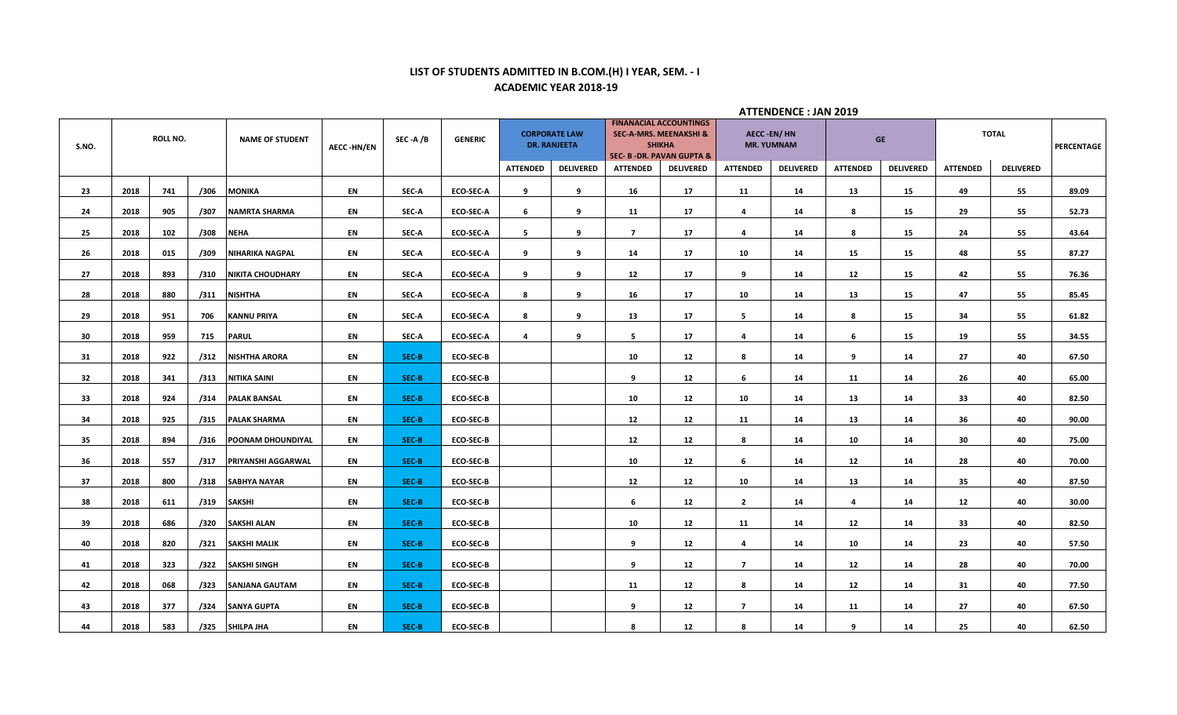# **LIST OF STUDENTS ADMITTED IN B.COM.(H) I YEAR, SEM. - I ACADEMIC YEAR 2018-19**

|       |          |     |                        |                       |           |                |                  |                                             |                  |                                                                                                                            |                  |                                   | ATTENDENCE . JAN 2013 |                 |                  |                 |                  |       |
|-------|----------|-----|------------------------|-----------------------|-----------|----------------|------------------|---------------------------------------------|------------------|----------------------------------------------------------------------------------------------------------------------------|------------------|-----------------------------------|-----------------------|-----------------|------------------|-----------------|------------------|-------|
| S.NO. | ROLL NO. |     | <b>NAME OF STUDENT</b> | <b>AECC-HN/EN</b>     | SEC -A /B | <b>GENERIC</b> |                  | <b>CORPORATE LAW</b><br><b>DR. RANJEETA</b> |                  | <b>FINANACIAL ACCOUNTINGS</b><br><b>SEC-A-MRS. MEENAKSHI &amp;</b><br><b>SHIKHA</b><br><b>SEC- B-DR. PAVAN GUPTA &amp;</b> |                  | AECC -EN/ HN<br><b>MR. YUMNAM</b> |                       | <b>GE</b>       |                  | <b>TOTAL</b>    | PERCENTAGE       |       |
|       |          |     |                        |                       |           |                |                  | <b>ATTENDED</b>                             | <b>DELIVERED</b> | <b>ATTENDED</b>                                                                                                            | <b>DELIVERED</b> | <b>ATTENDED</b>                   | <b>DELIVERED</b>      | <b>ATTENDED</b> | <b>DELIVERED</b> | <b>ATTENDED</b> | <b>DELIVERED</b> |       |
| 23    | 2018     | 741 | /306                   | <b>MONIKA</b>         | EN        | SEC-A          | <b>ECO-SEC-A</b> | 9                                           | 9                | 16                                                                                                                         | 17               | 11                                | 14                    | 13              | 15               | 49              | 55               | 89.09 |
| 24    | 2018     | 905 | /307                   | NAMRTA SHARMA         | EN        | SEC-A          | <b>ECO-SEC-A</b> | 6                                           | 9                | 11                                                                                                                         | 17               | 4                                 | 14                    | 8               | 15               | 29              | 55               | 52.73 |
| 25    | 2018     | 102 | /308                   | <b>NEHA</b>           | EN        | SEC-A          | <b>ECO-SEC-A</b> | 5                                           | 9                | $\overline{7}$                                                                                                             | 17               | 4                                 | 14                    | 8               | 15               | 24              | 55               | 43.64 |
| 26    | 2018     | 015 | /309                   | NIHARIKA NAGPAL       | EN        | SEC-A          | <b>ECO-SEC-A</b> | 9                                           | 9                | 14                                                                                                                         | 17               | 10                                | 14                    | 15              | 15               | 48              | 55               | 87.27 |
| 27    | 2018     | 893 | /310                   | NIKITA CHOUDHARY      | EN        | SEC-A          | <b>ECO-SEC-A</b> | 9                                           | 9                | 12                                                                                                                         | 17               | 9                                 | 14                    | 12              | 15               | 42              | 55               | 76.36 |
| 28    | 2018     | 880 | /311                   | <b>NISHTHA</b>        | EN        | SEC-A          | <b>ECO-SEC-A</b> | 8                                           | 9                | 16                                                                                                                         | 17               | 10                                | 14                    | 13              | 15               | 47              | 55               | 85.45 |
| 29    | 2018     | 951 | 706                    | <b>KANNU PRIYA</b>    | EN        | SEC-A          | <b>ECO-SEC-A</b> | 8                                           | 9                | 13                                                                                                                         | 17               | 5                                 | 14                    | 8               | 15               | 34              | 55               | 61.82 |
| 30    | 2018     | 959 | 715                    | <b>PARUL</b>          | EN        | SEC-A          | <b>ECO-SEC-A</b> | 4                                           | 9                | 5                                                                                                                          | 17               | 4                                 | 14                    | 6               | 15               | 19              | 55               | 34.55 |
| 31    | 2018     | 922 | /312                   | <b>NISHTHA ARORA</b>  | EN        | SEC-B          | <b>ECO-SEC-B</b> |                                             |                  | 10                                                                                                                         | 12               | 8                                 | 14                    | 9               | 14               | 27              | 40               | 67.50 |
| 32    | 2018     | 341 | /313                   | NITIKA SAINI          | EN        | SEC-B          | <b>ECO-SEC-B</b> |                                             |                  | 9                                                                                                                          | 12               | -6                                | 14                    | 11              | 14               | 26              | 40               | 65.00 |
| 33    | 2018     | 924 | /314                   | <b>PALAK BANSAL</b>   | EN        | SEC-B          | <b>ECO-SEC-B</b> |                                             |                  | 10                                                                                                                         | 12               | 10                                | 14                    | 13              | 14               | 33              | 40               | 82.50 |
| 34    | 2018     | 925 | /315                   | <b>PALAK SHARMA</b>   | EN        | SEC-B          | <b>ECO-SEC-B</b> |                                             |                  | 12                                                                                                                         | 12               | 11                                | 14                    | 13              | 14               | 36              | 40               | 90.00 |
| 35    | 2018     | 894 | /316                   | POONAM DHOUNDIYAL     | EN        | SEC-B          | <b>ECO-SEC-B</b> |                                             |                  | 12                                                                                                                         | 12               | 8                                 | 14                    | 10              | 14               | 30              | 40               | 75.00 |
| 36    | 2018     | 557 | /317                   | PRIYANSHI AGGARWAL    | EN        | SEC-B          | <b>ECO-SEC-B</b> |                                             |                  | 10                                                                                                                         | 12               | 6                                 | 14                    | 12              | 14               | 28              | 40               | 70.00 |
| 37    | 2018     | 800 | /318                   | <b>SABHYA NAYAR</b>   | EN        | SEC-B          | <b>ECO-SEC-B</b> |                                             |                  | 12                                                                                                                         | 12               | 10                                | 14                    | 13              | 14               | 35              | 40               | 87.50 |
| 38    | 2018     | 611 | /319                   | <b>SAKSHI</b>         | EN        | SEC-B          | <b>ECO-SEC-B</b> |                                             |                  | 6                                                                                                                          | 12               | $\overline{2}$                    | 14                    | 4               | 14               | 12              | 40               | 30.00 |
| 39    | 2018     | 686 | /320                   | <b>SAKSHI ALAN</b>    | EN        | SEC-B          | <b>ECO-SEC-B</b> |                                             |                  | 10                                                                                                                         | 12               | 11                                | 14                    | 12              | 14               | 33              | 40               | 82.50 |
| 40    | 2018     | 820 | /321                   | <b>SAKSHI MALIK</b>   | EN        | SEC-B          | <b>ECO-SEC-B</b> |                                             |                  | q                                                                                                                          | 12               | 4                                 | 14                    | 10              | 14               | 23              | 40               | 57.50 |
| 41    | 2018     | 323 | /322                   | <b>SAKSHI SINGH</b>   | EN        | SEC-B          | <b>ECO-SEC-B</b> |                                             |                  | 9                                                                                                                          | 12               | $\overline{7}$                    | 14                    | 12              | 14               | 28              | 40               | 70.00 |
| 42    | 2018     | 068 | /323                   | <b>SANJANA GAUTAM</b> | EN        | SEC-B          | <b>ECO-SEC-B</b> |                                             |                  | 11                                                                                                                         | 12               | 8                                 | 14                    | 12              | 14               | 31              | 40               | 77.50 |
| 43    | 2018     | 377 | /324                   | <b>SANYA GUPTA</b>    | EN        | SEC-B          | <b>ECO-SEC-B</b> |                                             |                  | q                                                                                                                          | 12               | $\overline{7}$                    | 14                    | 11              | 14               | 27              | 40               | 67.50 |
| 44    | 2018     | 583 | /325                   | <b>SHILPA JHA</b>     | EN        | SEC-B          | <b>ECO-SEC-B</b> |                                             |                  | 8                                                                                                                          | 12               | 8                                 | 14                    | 9               | 14               | 25              | 40               | 62.50 |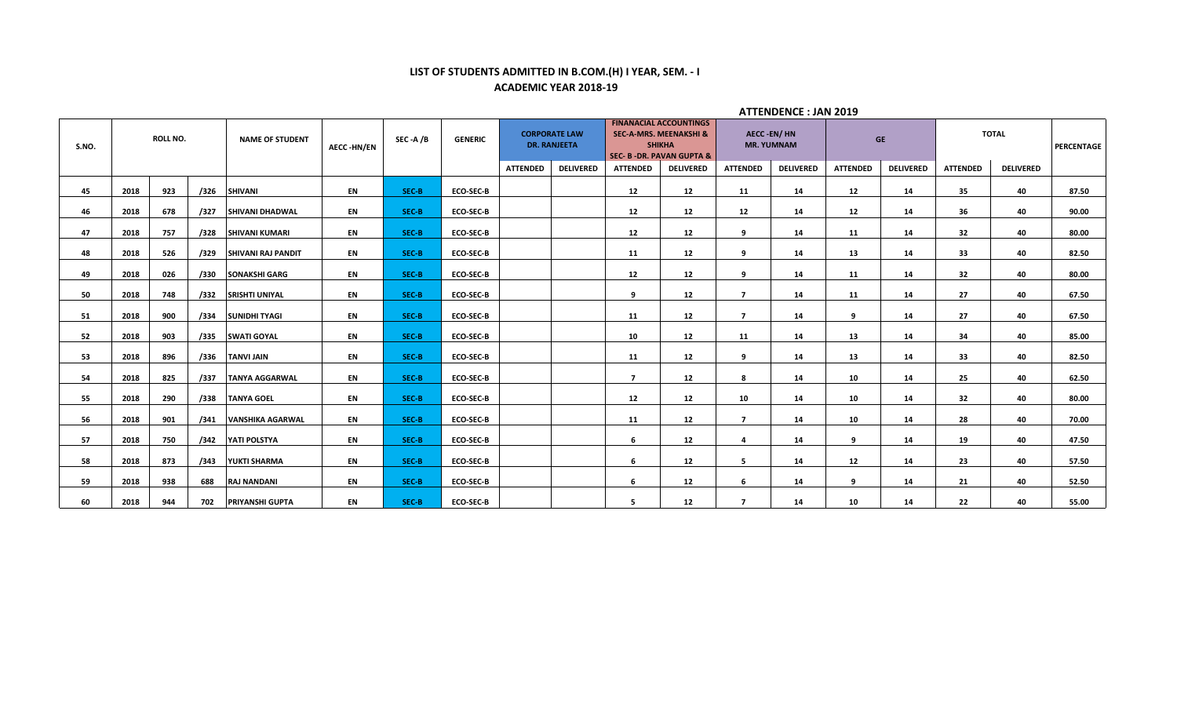# **LIST OF STUDENTS ADMITTED IN B.COM.(H) I YEAR, SEM. - I ACADEMIC YEAR 2018-19**

|       |      |                 |      |                           |                   |         |                  |                 |                                             |                 |                                                                                                                   |                                        | <b>ATTENDENCE: JAN 2019</b> |                 |                  |                 |                  |            |
|-------|------|-----------------|------|---------------------------|-------------------|---------|------------------|-----------------|---------------------------------------------|-----------------|-------------------------------------------------------------------------------------------------------------------|----------------------------------------|-----------------------------|-----------------|------------------|-----------------|------------------|------------|
| S.NO. |      | <b>ROLL NO.</b> |      | <b>NAME OF STUDENT</b>    | <b>AECC-HN/EN</b> | SEC-A/B | <b>GENERIC</b>   |                 | <b>CORPORATE LAW</b><br><b>DR. RANJEETA</b> |                 | <b>FINANACIAL ACCOUNTINGS</b><br><b>SEC-A-MRS. MEENAKSHI &amp;</b><br><b>SHIKHA</b><br>SEC- B - DR. PAVAN GUPTA & | <b>AECC-EN/HN</b><br><b>MR. YUMNAM</b> |                             |                 | <b>GE</b>        |                 | <b>TOTAL</b>     | PERCENTAGE |
|       |      |                 |      |                           |                   |         |                  | <b>ATTENDED</b> | <b>DELIVERED</b>                            | <b>ATTENDED</b> | <b>DELIVERED</b>                                                                                                  | <b>ATTENDED</b>                        | <b>DELIVERED</b>            | <b>ATTENDED</b> | <b>DELIVERED</b> | <b>ATTENDED</b> | <b>DELIVERED</b> |            |
| 45    | 2018 | 923             | /326 | <b>SHIVANI</b>            | EN                | SEC-B   | <b>ECO-SEC-B</b> |                 |                                             | 12              | 12                                                                                                                | 11                                     | 14                          | 12              | 14               | 35              | 40               | 87.50      |
| 46    | 2018 | 678             | /327 | <b>SHIVANI DHADWAL</b>    | EN                | SEC-B   | <b>ECO-SEC-B</b> |                 |                                             | 12              | 12                                                                                                                | 12                                     | 14                          | 12              | 14               | 36              | 40               | 90.00      |
| 47    | 2018 | 757             | /328 | <b>SHIVANI KUMARI</b>     | EN                | SEC-B   | <b>ECO-SEC-B</b> |                 |                                             | 12              | 12                                                                                                                | 9                                      | 14                          | 11              | 14               | 32              | 40               | 80.00      |
| 48    | 2018 | 526             | /329 | <b>SHIVANI RAJ PANDIT</b> | EN                | SEC-B   | <b>ECO-SEC-B</b> |                 |                                             | 11              | 12                                                                                                                | 9                                      | 14                          | 13              | 14               | 33              | 40               | 82.50      |
| 49    | 2018 | 026             | /330 | <b>SONAKSHI GARG</b>      | EN                | SEC-B   | <b>ECO-SEC-B</b> |                 |                                             | 12              | 12                                                                                                                | 9                                      | 14                          | 11              | 14               | 32              | 40               | 80.00      |
| 50    | 2018 | 748             | /332 | <b>SRISHTI UNIYAL</b>     | EN                | SEC-B   | <b>ECO-SEC-B</b> |                 |                                             | 9               | 12                                                                                                                | $\overline{7}$                         | 14                          | 11              | 14               | 27              | 40               | 67.50      |
| 51    | 2018 | 900             | /334 | <b>SUNIDHI TYAGI</b>      | EN                | SEC-B   | <b>ECO-SEC-B</b> |                 |                                             | 11              | 12                                                                                                                | $\overline{7}$                         | 14                          | 9               | 14               | 27              | 40               | 67.50      |
| 52    | 2018 | 903             | /335 | <b>SWATI GOYAL</b>        | EN                | SEC-B   | <b>ECO-SEC-B</b> |                 |                                             | 10              | 12                                                                                                                | 11                                     | 14                          | 13              | 14               | 34              | 40               | 85.00      |
| 53    | 2018 | 896             | /336 | <b>TANVI JAIN</b>         | EN                | SEC-B   | <b>ECO-SEC-B</b> |                 |                                             | 11              | 12                                                                                                                | 9                                      | 14                          | 13              | 14               | 33              | 40               | 82.50      |
| 54    | 2018 | 825             | /337 | <b>TANYA AGGARWAL</b>     | EN                | SEC-B   | <b>ECO-SEC-B</b> |                 |                                             | $\overline{7}$  | 12                                                                                                                | 8                                      | 14                          | 10              | 14               | 25              | 40               | 62.50      |
| 55    | 2018 | 290             | /338 | <b>TANYA GOEL</b>         | EN                | SEC-B   | <b>ECO-SEC-B</b> |                 |                                             | 12              | 12                                                                                                                | 10                                     | 14                          | 10              | 14               | 32              | 40               | 80.00      |
| 56    | 2018 | 901             | /341 | <b>VANSHIKA AGARWAL</b>   | EN                | SEC-B   | <b>ECO-SEC-B</b> |                 |                                             | 11              | 12                                                                                                                | $\overline{7}$                         | 14                          | 10              | 14               | 28              | 40               | 70.00      |
| 57    | 2018 | 750             | /342 | YATI POLSTYA              | EN                | SEC-B   | <b>ECO-SEC-B</b> |                 |                                             | 6               | 12                                                                                                                | $\overline{a}$                         | 14                          | 9               | 14               | 19              | 40               | 47.50      |
| 58    | 2018 | 873             | /343 | YUKTI SHARMA              | EN                | SEC-B   | <b>ECO-SEC-B</b> |                 |                                             | 6               | 12                                                                                                                | 5                                      | 14                          | 12              | 14               | 23              | 40               | 57.50      |
| 59    | 2018 | 938             | 688  | <b>RAJ NANDANI</b>        | EN                | SEC-B   | <b>ECO-SEC-B</b> |                 |                                             | 6               | 12                                                                                                                | 6                                      | 14                          | 9               | 14               | 21              | 40               | 52.50      |
| 60    | 2018 | 944             | 702  | <b>PRIYANSHI GUPTA</b>    | EN                | SEC-B   | <b>ECO-SEC-B</b> |                 |                                             | 5               | 12                                                                                                                | $\overline{7}$                         | 14                          | 10              | 14               | 22              | 40               | 55.00      |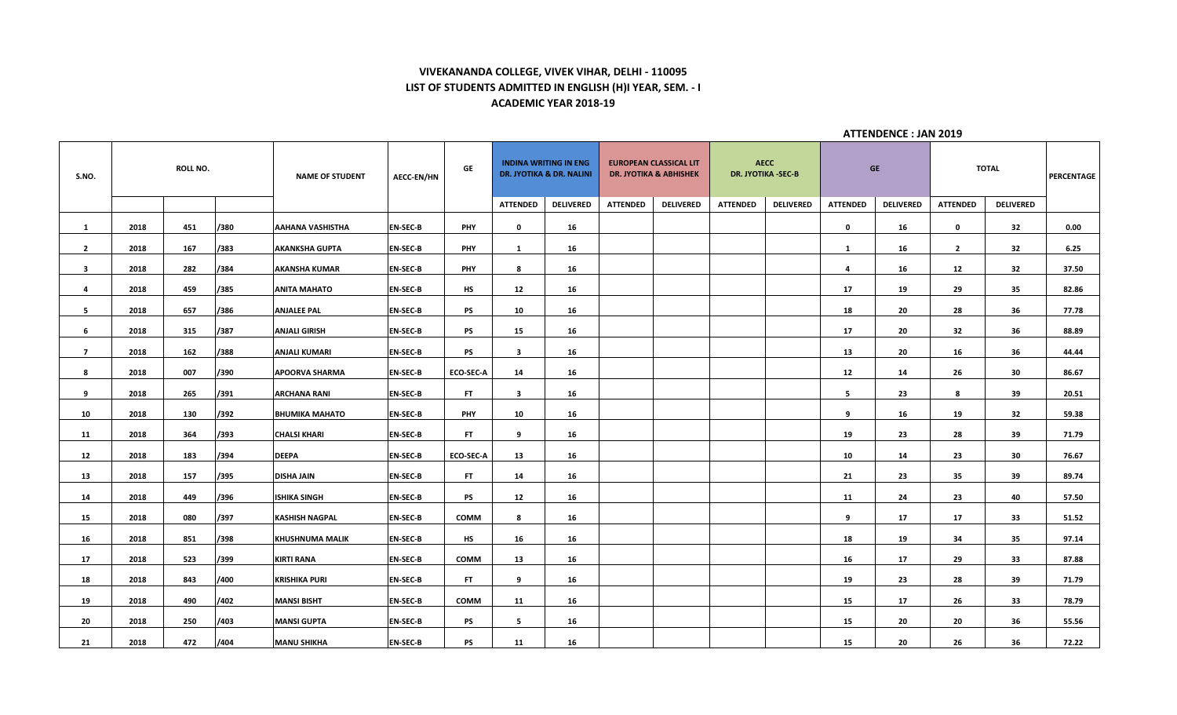# **VIVEKANANDA COLLEGE, VIVEK VIHAR, DELHI - 110095 LIST OF STUDENTS ADMITTED IN ENGLISH (H)I YEAR, SEM. - I ACADEMIC YEAR 2018-19**

| S.NO.          |      | <b>ROLL NO.</b> |      | <b>NAME OF STUDENT</b>  | <b>AECC-EN/HN</b> | GE               |                         | <b>INDINA WRITING IN ENG</b><br><b>DR. JYOTIKA &amp; DR. NALINI</b> |                 | <b>EUROPEAN CLASSICAL LIT</b><br><b>DR. JYOTIKA &amp; ABHISHEK</b> |                 | <b>AECC</b><br>DR. JYOTIKA -SEC-B |                 | <b>GE</b>        |                 | <b>TOTAL</b>     | PERCENTAGE |
|----------------|------|-----------------|------|-------------------------|-------------------|------------------|-------------------------|---------------------------------------------------------------------|-----------------|--------------------------------------------------------------------|-----------------|-----------------------------------|-----------------|------------------|-----------------|------------------|------------|
|                |      |                 |      |                         |                   |                  | <b>ATTENDED</b>         | <b>DELIVERED</b>                                                    | <b>ATTENDED</b> | <b>DELIVERED</b>                                                   | <b>ATTENDED</b> | <b>DELIVERED</b>                  | <b>ATTENDED</b> | <b>DELIVERED</b> | <b>ATTENDED</b> | <b>DELIVERED</b> |            |
| $\mathbf{1}$   | 2018 | 451             | /380 | <b>AAHANA VASHISTHA</b> | <b>EN-SEC-B</b>   | <b>PHY</b>       | $\mathbf 0$             | 16                                                                  |                 |                                                                    |                 |                                   | $\mathbf 0$     | 16               | $\mathbf 0$     | 32               | 0.00       |
| $\overline{2}$ | 2018 | 167             | /383 | <b>AKANKSHA GUPTA</b>   | <b>EN-SEC-B</b>   | <b>PHY</b>       | 1                       | 16                                                                  |                 |                                                                    |                 |                                   | 1               | 16               | $\overline{2}$  | 32               | 6.25       |
| $\mathbf{3}$   | 2018 | 282             | /384 | <b>AKANSHA KUMAR</b>    | <b>EN-SEC-B</b>   | <b>PHY</b>       | 8                       | 16                                                                  |                 |                                                                    |                 |                                   | $\overline{4}$  | 16               | 12              | 32               | 37.50      |
| 4              | 2018 | 459             | /385 | <b>ANITA MAHATO</b>     | <b>EN-SEC-B</b>   | HS               | 12                      | 16                                                                  |                 |                                                                    |                 |                                   | 17              | 19               | 29              | 35               | 82.86      |
| 5              | 2018 | 657             | /386 | <b>ANJALEE PAL</b>      | <b>EN-SEC-B</b>   | PS               | 10                      | 16                                                                  |                 |                                                                    |                 |                                   | 18              | 20               | 28              | 36               | 77.78      |
| 6              | 2018 | 315             | /387 | <b>ANJALI GIRISH</b>    | <b>EN-SEC-B</b>   | <b>PS</b>        | 15                      | 16                                                                  |                 |                                                                    |                 |                                   | 17              | 20               | 32              | 36               | 88.89      |
| $\overline{7}$ | 2018 | 162             | /388 | <b>ANJALI KUMARI</b>    | <b>EN-SEC-B</b>   | PS               | $\overline{\mathbf{3}}$ | 16                                                                  |                 |                                                                    |                 |                                   | 13              | 20               | 16              | 36               | 44.44      |
| 8              | 2018 | 007             | /390 | <b>APOORVA SHARMA</b>   | <b>EN-SEC-B</b>   | <b>ECO-SEC-A</b> | 14                      | 16                                                                  |                 |                                                                    |                 |                                   | 12              | 14               | 26              | 30               | 86.67      |
| 9              | 2018 | 265             | /391 | <b>ARCHANA RANI</b>     | <b>EN-SEC-B</b>   | FT.              | $\overline{\mathbf{3}}$ | 16                                                                  |                 |                                                                    |                 |                                   | 5               | 23               | 8               | 39               | 20.51      |
| 10             | 2018 | 130             | /392 | <b>BHUMIKA MAHATO</b>   | <b>EN-SEC-B</b>   | PHY              | 10                      | 16                                                                  |                 |                                                                    |                 |                                   | q               | 16               | 19              | 32               | 59.38      |
| 11             | 2018 | 364             | /393 | <b>CHALSI KHARI</b>     | <b>EN-SEC-B</b>   | <b>FT</b>        | 9                       | 16                                                                  |                 |                                                                    |                 |                                   | 19              | 23               | 28              | 39               | 71.79      |
| 12             | 2018 | 183             | /394 | <b>DEEPA</b>            | <b>EN-SEC-B</b>   | <b>ECO-SEC-A</b> | 13                      | 16                                                                  |                 |                                                                    |                 |                                   | 10              | 14               | 23              | 30               | 76.67      |
| 13             | 2018 | 157             | /395 | <b>DISHA JAIN</b>       | <b>EN-SEC-B</b>   | <b>FT</b>        | 14                      | 16                                                                  |                 |                                                                    |                 |                                   | 21              | 23               | 35              | 39               | 89.74      |
| 14             | 2018 | 449             | /396 | <b>ISHIKA SINGH</b>     | <b>EN-SEC-B</b>   | PS               | 12                      | 16                                                                  |                 |                                                                    |                 |                                   | 11              | 24               | 23              | 40               | 57.50      |
| 15             | 2018 | 080             | /397 | <b>KASHISH NAGPAL</b>   | <b>EN-SEC-B</b>   | COMM             | 8                       | 16                                                                  |                 |                                                                    |                 |                                   | 9               | 17               | 17              | 33               | 51.52      |
| 16             | 2018 | 851             | /398 | <b>KHUSHNUMA MALIK</b>  | <b>EN-SEC-B</b>   | HS               | 16                      | 16                                                                  |                 |                                                                    |                 |                                   | 18              | 19               | 34              | 35               | 97.14      |
| 17             | 2018 | 523             | /399 | <b>KIRTI RANA</b>       | <b>EN-SEC-B</b>   | <b>COMM</b>      | 13                      | 16                                                                  |                 |                                                                    |                 |                                   | 16              | 17               | 29              | 33               | 87.88      |
| 18             | 2018 | 843             | /400 | <b>KRISHIKA PURI</b>    | <b>EN-SEC-B</b>   | FT.              | 9                       | 16                                                                  |                 |                                                                    |                 |                                   | 19              | 23               | 28              | 39               | 71.79      |
| 19             | 2018 | 490             | /402 | <b>MANSI BISHT</b>      | <b>EN-SEC-B</b>   | COMM             | 11                      | 16                                                                  |                 |                                                                    |                 |                                   | 15              | 17               | 26              | 33               | 78.79      |
| 20             | 2018 | 250             | /403 | <b>MANSI GUPTA</b>      | <b>EN-SEC-B</b>   | PS               | 5                       | 16                                                                  |                 |                                                                    |                 |                                   | 15              | 20               | 20              | 36               | 55.56      |
| 21             | 2018 | 472             | /404 | <b>MANU SHIKHA</b>      | <b>EN-SEC-B</b>   | PS               | 11                      | 16                                                                  |                 |                                                                    |                 |                                   | 15              | 20               | 26              | 36               | 72.22      |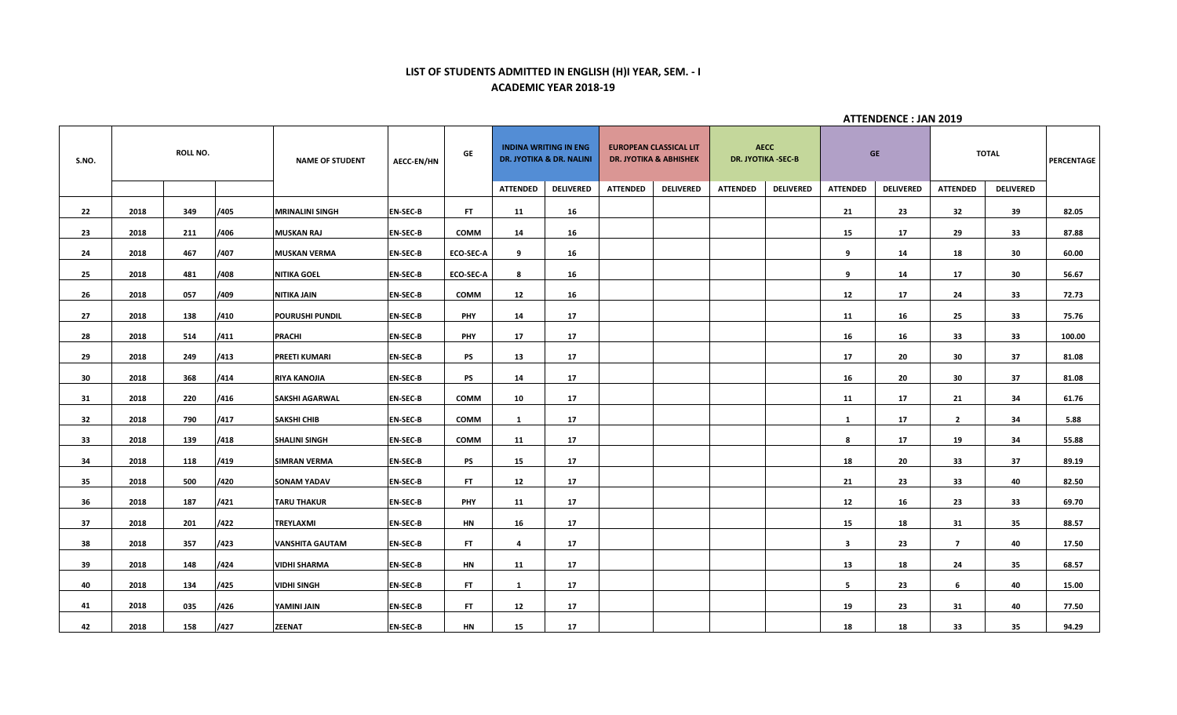#### **LIST OF STUDENTS ADMITTED IN ENGLISH (H)I YEAR, SEM. - I ACADEMIC YEAR 2018-19**

| S.NO. |      | <b>ROLL NO.</b> |      | <b>NAME OF STUDENT</b> | <b>AECC-EN/HN</b> | GE               |                 | <b>INDINA WRITING IN ENG</b><br>DR. JYOTIKA & DR. NALINI |                 | <b>EUROPEAN CLASSICAL LIT</b><br><b>DR. JYOTIKA &amp; ABHISHEK</b> | <b>AECC</b><br>DR. JYOTIKA - SEC-B |                  |                         | <b>GE</b>        |                 | TOTAL            | PERCENTAGE |
|-------|------|-----------------|------|------------------------|-------------------|------------------|-----------------|----------------------------------------------------------|-----------------|--------------------------------------------------------------------|------------------------------------|------------------|-------------------------|------------------|-----------------|------------------|------------|
|       |      |                 |      |                        |                   |                  | <b>ATTENDED</b> | <b>DELIVERED</b>                                         | <b>ATTENDED</b> | <b>DELIVERED</b>                                                   | <b>ATTENDED</b>                    | <b>DELIVERED</b> | <b>ATTENDED</b>         | <b>DELIVERED</b> | <b>ATTENDED</b> | <b>DELIVERED</b> |            |
| 22    | 2018 | 349             | /405 | <b>MRINALINI SINGH</b> | <b>EN-SEC-B</b>   | FT               | 11              | 16                                                       |                 |                                                                    |                                    |                  | 21                      | 23               | 32              | 39               | 82.05      |
| 23    | 2018 | 211             | /406 | <b>MUSKAN RAJ</b>      | <b>EN-SEC-B</b>   | <b>COMM</b>      | 14              | 16                                                       |                 |                                                                    |                                    |                  | 15                      | 17               | 29              | 33               | 87.88      |
| 24    | 2018 | 467             | /407 | <b>MUSKAN VERMA</b>    | <b>EN-SEC-B</b>   | ECO-SEC-A        | 9               | 16                                                       |                 |                                                                    |                                    |                  | 9                       | 14               | 18              | 30               | 60.00      |
| 25    | 2018 | 481             | /408 | <b>NITIKA GOEL</b>     | <b>EN-SEC-B</b>   | <b>ECO-SEC-A</b> | 8               | 16                                                       |                 |                                                                    |                                    |                  | 9                       | 14               | 17              | 30               | 56.67      |
| 26    | 2018 | 057             | /409 | NITIKA JAIN            | <b>EN-SEC-B</b>   | <b>COMM</b>      | 12              | 16                                                       |                 |                                                                    |                                    |                  | 12                      | 17               | 24              | 33               | 72.73      |
| 27    | 2018 | 138             | /410 | <b>POURUSHI PUNDIL</b> | <b>EN-SEC-B</b>   | <b>PHY</b>       | 14              | 17                                                       |                 |                                                                    |                                    |                  | 11                      | 16               | 25              | 33               | 75.76      |
| 28    | 2018 | 514             | /411 | <b>PRACHI</b>          | <b>EN-SEC-B</b>   | <b>PHY</b>       | 17              | 17                                                       |                 |                                                                    |                                    |                  | 16                      | 16               | 33              | 33               | 100.00     |
| 29    | 2018 | 249             | /413 | <b>PREETI KUMARI</b>   | <b>EN-SEC-B</b>   | <b>PS</b>        | 13              | 17                                                       |                 |                                                                    |                                    |                  | 17                      | 20               | 30              | 37               | 81.08      |
| 30    | 2018 | 368             | /414 | <b>RIYA KANOJIA</b>    | <b>EN-SEC-B</b>   | <b>PS</b>        | 14              | 17                                                       |                 |                                                                    |                                    |                  | 16                      | 20               | 30              | 37               | 81.08      |
| 31    | 2018 | 220             | /416 | <b>SAKSHI AGARWAL</b>  | <b>EN-SEC-B</b>   | <b>COMM</b>      | 10              | 17                                                       |                 |                                                                    |                                    |                  | 11                      | 17               | 21              | 34               | 61.76      |
| 32    | 2018 | 790             | /417 | <b>SAKSHI CHIB</b>     | <b>EN-SEC-B</b>   | <b>COMM</b>      | 1               | 17                                                       |                 |                                                                    |                                    |                  | 1                       | 17               | $\overline{2}$  | 34               | 5.88       |
| 33    | 2018 | 139             | /418 | <b>SHALINI SINGH</b>   | <b>EN-SEC-B</b>   | <b>COMM</b>      | 11              | 17                                                       |                 |                                                                    |                                    |                  | 8                       | 17               | 19              | 34               | 55.88      |
| 34    | 2018 | 118             | /419 | <b>SIMRAN VERMA</b>    | <b>EN-SEC-B</b>   | PS               | 15              | 17                                                       |                 |                                                                    |                                    |                  | 18                      | 20               | 33              | 37               | 89.19      |
| 35    | 2018 | 500             | /420 | <b>SONAM YADAV</b>     | <b>EN-SEC-B</b>   | <b>FT</b>        | 12              | 17                                                       |                 |                                                                    |                                    |                  | 21                      | 23               | 33              | 40               | 82.50      |
| 36    | 2018 | 187             | /421 | <b>TARU THAKUR</b>     | <b>EN-SEC-B</b>   | <b>PHY</b>       | 11              | 17                                                       |                 |                                                                    |                                    |                  | 12                      | 16               | 23              | 33               | 69.70      |
| 37    | 2018 | 201             | /422 | <b>TREYLAXMI</b>       | <b>EN-SEC-B</b>   | <b>HN</b>        | 16              | 17                                                       |                 |                                                                    |                                    |                  | 15                      | 18               | 31              | 35               | 88.57      |
| 38    | 2018 | 357             | /423 | <b>VANSHITA GAUTAM</b> | <b>EN-SEC-B</b>   | FT.              | 4               | 17                                                       |                 |                                                                    |                                    |                  | $\overline{\mathbf{3}}$ | 23               | $\overline{7}$  | 40               | 17.50      |
| 39    | 2018 | 148             | /424 | <b>VIDHI SHARMA</b>    | <b>EN-SEC-B</b>   | HN               | 11              | 17                                                       |                 |                                                                    |                                    |                  | 13                      | 18               | 24              | 35               | 68.57      |
| 40    | 2018 | 134             | /425 | <b>VIDHI SINGH</b>     | <b>EN-SEC-B</b>   | FT.              | $\mathbf{1}$    | 17                                                       |                 |                                                                    |                                    |                  | 5                       | 23               | 6               | 40               | 15.00      |
| 41    | 2018 | 035             | /426 | YAMINI JAIN            | <b>EN-SEC-B</b>   | FT.              | 12              | 17                                                       |                 |                                                                    |                                    |                  | 19                      | 23               | 31              | 40               | 77.50      |
| 42    | 2018 | 158             | /427 | <b>ZEENAT</b>          | <b>EN-SEC-B</b>   | HN               | 15              | 17                                                       |                 |                                                                    |                                    |                  | 18                      | 18               | 33              | 35               | 94.29      |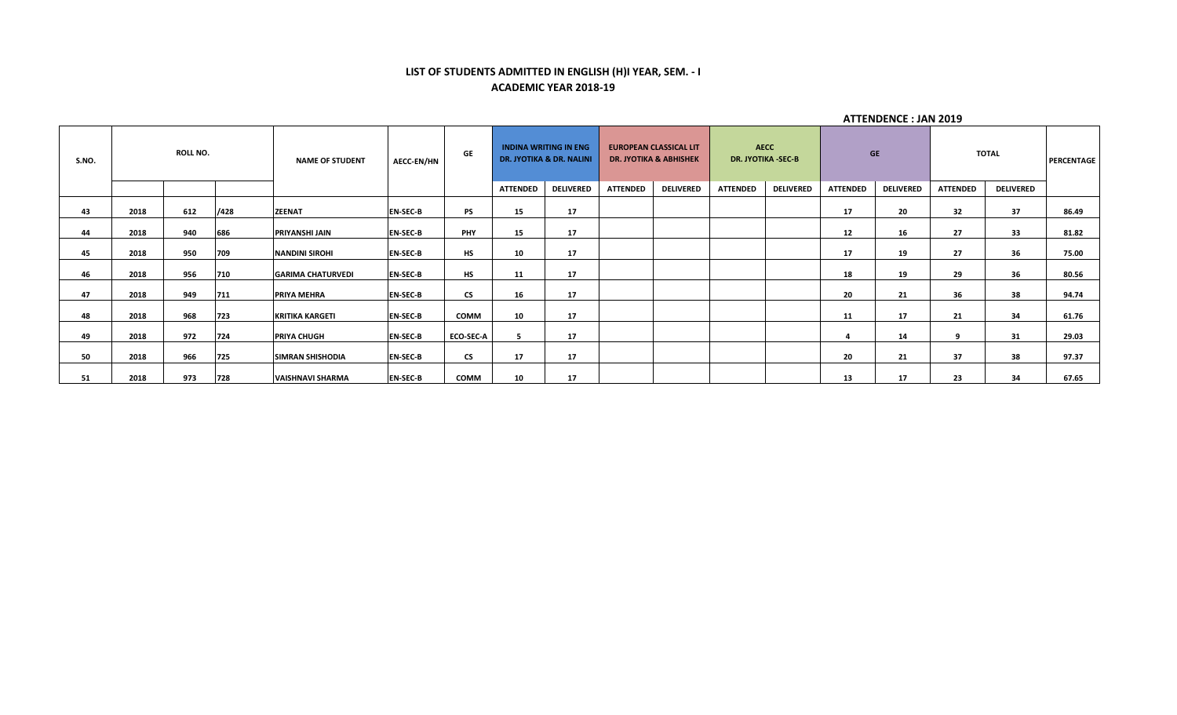#### **LIST OF STUDENTS ADMITTED IN ENGLISH (H)I YEAR, SEM. - I ACADEMIC YEAR 2018-19**

| S.NO. |      | <b>ROLL NO.</b> |      | <b>NAME OF STUDENT</b>   | <b>AECC-EN/HN</b> | <b>GE</b>        |                 | <b>INDINA WRITING IN ENG</b><br><b>DR. JYOTIKA &amp; DR. NALINI</b> |                 | <b>EUROPEAN CLASSICAL LIT</b><br><b>DR. JYOTIKA &amp; ABHISHEK</b> |                 | <b>AECC</b><br><b>DR. JYOTIKA -SEC-B</b> |                 | <b>GE</b>        |                 | <b>TOTAL</b>     | <b>PERCENTAGE</b> |
|-------|------|-----------------|------|--------------------------|-------------------|------------------|-----------------|---------------------------------------------------------------------|-----------------|--------------------------------------------------------------------|-----------------|------------------------------------------|-----------------|------------------|-----------------|------------------|-------------------|
|       |      |                 |      |                          |                   |                  | <b>ATTENDED</b> | <b>DELIVERED</b>                                                    | <b>ATTENDED</b> | <b>DELIVERED</b>                                                   | <b>ATTENDED</b> | <b>DELIVERED</b>                         | <b>ATTENDED</b> | <b>DELIVERED</b> | <b>ATTENDED</b> | <b>DELIVERED</b> |                   |
| 43    | 2018 | 612             | /428 | <b>ZEENAT</b>            | <b>EN-SEC-B</b>   | PS               | 15              | 17                                                                  |                 |                                                                    |                 |                                          | 17              | 20               | 32              | 37               | 86.49             |
| 44    | 2018 | 940             | 686  | PRIYANSHI JAIN           | <b>EN-SEC-B</b>   | PHY              | 15              | 17                                                                  |                 |                                                                    |                 |                                          | 12              | 16               | 27              | 33               | 81.82             |
| 45    | 2018 | 950             | 709  | <b>NANDINI SIROHI</b>    | <b>EN-SEC-B</b>   | <b>HS</b>        | 10              | 17                                                                  |                 |                                                                    |                 |                                          | 17              | 19               | 27              | 36               | 75.00             |
| 46    | 2018 | 956             | 710  | <b>GARIMA CHATURVEDI</b> | <b>EN-SEC-B</b>   | HS               | 11              | 17                                                                  |                 |                                                                    |                 |                                          | 18              | 19               | 29              | 36               | 80.56             |
| 47    | 2018 | 949             | 711  | <b>PRIYA MEHRA</b>       | <b>EN-SEC-B</b>   | <b>CS</b>        | 16              | 17                                                                  |                 |                                                                    |                 |                                          | 20              | 21               | 36              | 38               | 94.74             |
| 48    | 2018 | 968             | 723  | <b>KRITIKA KARGETI</b>   | <b>EN-SEC-B</b>   | COMM             | 10              | 17                                                                  |                 |                                                                    |                 |                                          | 11              | 17               | 21              | 34               | 61.76             |
| 49    | 2018 | 972             | 724  | <b>PRIYA CHUGH</b>       | <b>EN-SEC-B</b>   | <b>ECO-SEC-A</b> |                 | 17                                                                  |                 |                                                                    |                 |                                          |                 | 14               | 9               | 31               | 29.03             |
| 50    | 2018 | 966             | 725  | <b>SIMRAN SHISHODIA</b>  | <b>EN-SEC-B</b>   | <b>CS</b>        | 17              | 17                                                                  |                 |                                                                    |                 |                                          | 20              | 21               | 37              | 38               | 97.37             |
| 51    | 2018 | 973             | 728  | <b>VAISHNAVI SHARMA</b>  | <b>EN-SEC-B</b>   | COMM             | 10              | 17                                                                  |                 |                                                                    |                 |                                          | 13              | 17               | 23              | 34               | 67.65             |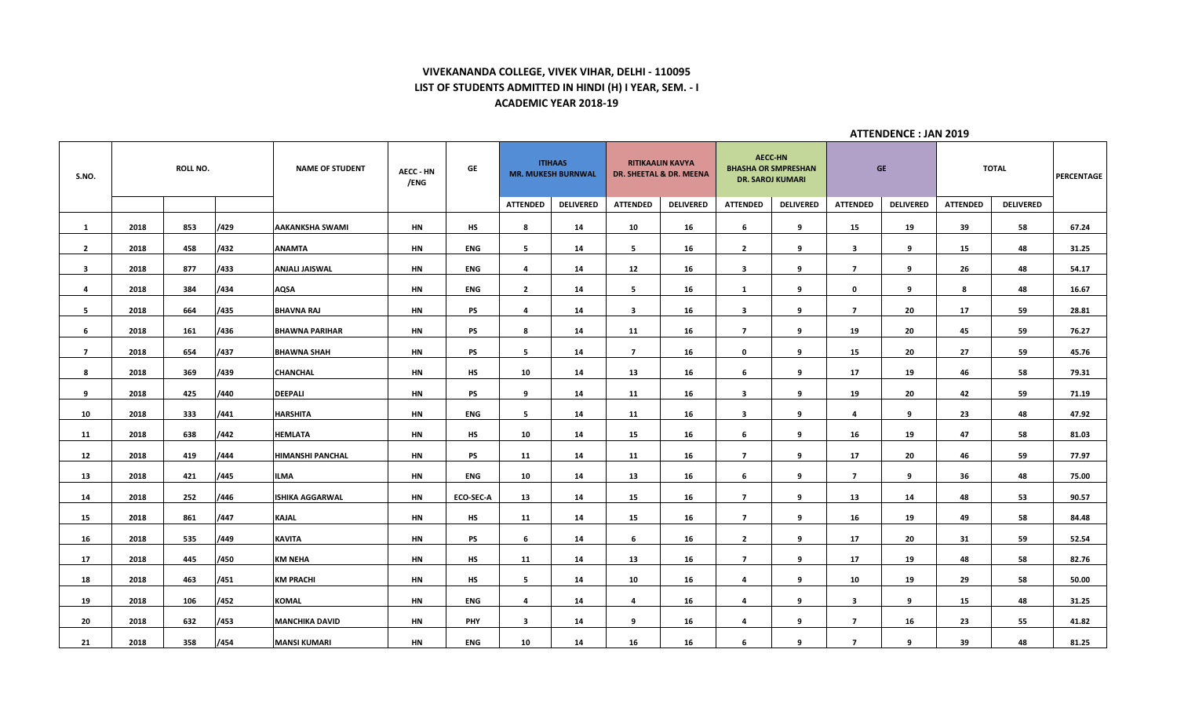# **VIVEKANANDA COLLEGE, VIVEK VIHAR, DELHI - 110095 LIST OF STUDENTS ADMITTED IN HINDI (H) I YEAR, SEM. - I ACADEMIC YEAR 2018-19**

| S.NO.          |      | <b>ROLL NO.</b> |      | <b>NAME OF STUDENT</b> | <b>AECC - HN</b><br>/ENG | GE         |                         | <b>ITIHAAS</b><br><b>MR. MUKESH BURNWAL</b> |                         | <b>RITIKAALIN KAVYA</b><br>DR. SHEETAL & DR. MEENA | <b>AECC-HN</b><br><b>DR. SAROJ KUMARI</b> | <b>BHASHA OR SMPRESHAN</b> |                         | <b>GE</b>        |                 | <b>TOTAL</b>     | PERCENTAGE |
|----------------|------|-----------------|------|------------------------|--------------------------|------------|-------------------------|---------------------------------------------|-------------------------|----------------------------------------------------|-------------------------------------------|----------------------------|-------------------------|------------------|-----------------|------------------|------------|
|                |      |                 |      |                        |                          |            | <b>ATTENDED</b>         | <b>DELIVERED</b>                            | <b>ATTENDED</b>         | <b>DELIVERED</b>                                   | <b>ATTENDED</b>                           | <b>DELIVERED</b>           | <b>ATTENDED</b>         | <b>DELIVERED</b> | <b>ATTENDED</b> | <b>DELIVERED</b> |            |
| $\mathbf{1}$   | 2018 | 853             | /429 | AAKANKSHA SWAMI        | HN                       | HS         | 8                       | 14                                          | 10                      | 16                                                 | 6                                         | 9                          | 15                      | 19               | 39              | 58               | 67.24      |
| $\overline{2}$ | 2018 | 458             | /432 | ANAMTA                 | HN                       | <b>ENG</b> | 5 <sub>1</sub>          | 14                                          | 5                       | 16                                                 | $\overline{2}$                            | 9                          | $\overline{\mathbf{3}}$ | 9                | 15              | 48               | 31.25      |
| $\mathbf{3}$   | 2018 | 877             | /433 | <b>ANJALI JAISWAL</b>  | HN                       | ENG        | 4                       | 14                                          | 12                      | 16                                                 | $\mathbf{3}$                              | 9                          | $\overline{7}$          | 9                | 26              | 48               | 54.17      |
| 4              | 2018 | 384             | /434 | AQSA                   | HN                       | ENG        | $\overline{2}$          | 14                                          | 5                       | 16                                                 | <b>1</b>                                  | 9                          | $\mathbf 0$             | 9                | 8               | 48               | 16.67      |
| 5              | 2018 | 664             | /435 | <b>BHAVNA RAJ</b>      | <b>HN</b>                | PS         | $\overline{a}$          | 14                                          | $\overline{\mathbf{3}}$ | 16                                                 | $\mathbf{3}$                              | 9                          | $\overline{7}$          | 20               | 17              | 59               | 28.81      |
| 6              | 2018 | 161             | /436 | <b>BHAWNA PARIHAR</b>  | <b>HN</b>                | <b>PS</b>  | 8                       | 14                                          | 11                      | 16                                                 | $\overline{7}$                            | 9                          | 19                      | 20               | 45              | 59               | 76.27      |
| $\overline{7}$ | 2018 | 654             | /437 | <b>BHAWNA SHAH</b>     | HN                       | PS         | 5                       | 14                                          | $\overline{7}$          | 16                                                 | $\mathbf 0$                               | 9                          | 15                      | 20               | 27              | 59               | 45.76      |
| 8              | 2018 | 369             | /439 | <b>CHANCHAL</b>        | HN                       | HS         | 10                      | 14                                          | 13                      | 16                                                 | 6                                         | 9                          | 17                      | 19               | 46              | 58               | 79.31      |
| 9              | 2018 | 425             | /440 | <b>DEEPALI</b>         | HN                       | <b>PS</b>  | 9                       | 14                                          | 11                      | 16                                                 | $\overline{\mathbf{3}}$                   | 9                          | 19                      | 20               | 42              | 59               | 71.19      |
| 10             | 2018 | 333             | /441 | <b>HARSHITA</b>        | HN                       | <b>ENG</b> | 5                       | 14                                          | 11                      | 16                                                 | $\mathbf{3}$                              | 9                          | 4                       | 9                | 23              | 48               | 47.92      |
| 11             | 2018 | 638             | /442 | HEMLATA                | HN                       | НS         | 10                      | 14                                          | 15                      | 16                                                 | 6                                         | 9                          | 16                      | 19               | 47              | 58               | 81.03      |
| 12             | 2018 | 419             | /444 | HIMANSHI PANCHAL       | HN                       | PS         | 11                      | 14                                          | 11                      | 16                                                 | $\overline{7}$                            | 9                          | 17                      | 20               | 46              | 59               | 77.97      |
| 13             | 2018 | 421             | /445 | <b>ILMA</b>            | HN                       | <b>ENG</b> | 10                      | 14                                          | 13                      | 16                                                 | 6                                         | 9                          | $\overline{7}$          | 9                | 36              | 48               | 75.00      |
| 14             | 2018 | 252             | /446 | <b>ISHIKA AGGARWAL</b> | <b>HN</b>                | ECO-SEC-A  | 13                      | 14                                          | 15                      | 16                                                 | $\overline{7}$                            | 9                          | 13                      | 14               | 48              | 53               | 90.57      |
| 15             | 2018 | 861             | /447 | KAJAL                  | HN                       | HS         | 11                      | 14                                          | 15                      | 16                                                 | $\overline{7}$                            | 9                          | 16                      | 19               | 49              | 58               | 84.48      |
| 16             | 2018 | 535             | /449 | <b>KAVITA</b>          | HN                       | <b>PS</b>  | 6                       | 14                                          | 6                       | 16                                                 | $\overline{2}$                            | 9                          | 17                      | 20               | 31              | 59               | 52.54      |
| 17             | 2018 | 445             | /450 | <b>KM NEHA</b>         | HN                       | HS         | 11                      | 14                                          | 13                      | 16                                                 | $\overline{7}$                            | 9                          | 17                      | 19               | 48              | 58               | 82.76      |
| 18             | 2018 | 463             | /451 | <b>KM PRACHI</b>       | HN                       | HS         | 5                       | 14                                          | 10                      | 16                                                 | 4                                         | 9                          | 10                      | 19               | 29              | 58               | 50.00      |
| 19             | 2018 | 106             | /452 | KOMAL                  | HN                       | ENG        | 4                       | 14                                          | 4                       | 16                                                 | 4                                         | 9                          | 3                       | 9                | 15              | 48               | 31.25      |
| 20             | 2018 | 632             | /453 | <b>MANCHIKA DAVID</b>  | HN                       | <b>PHY</b> | $\overline{\mathbf{3}}$ | 14                                          | 9                       | 16                                                 | 4                                         | 9                          | $\overline{7}$          | 16               | 23              | 55               | 41.82      |
| 21             | 2018 | 358             | /454 | <b>MANSI KUMARI</b>    | HN                       | <b>ENG</b> | 10                      | 14                                          | 16                      | 16                                                 | 6                                         | 9                          | $\overline{7}$          | 9                | 39              | 48               | 81.25      |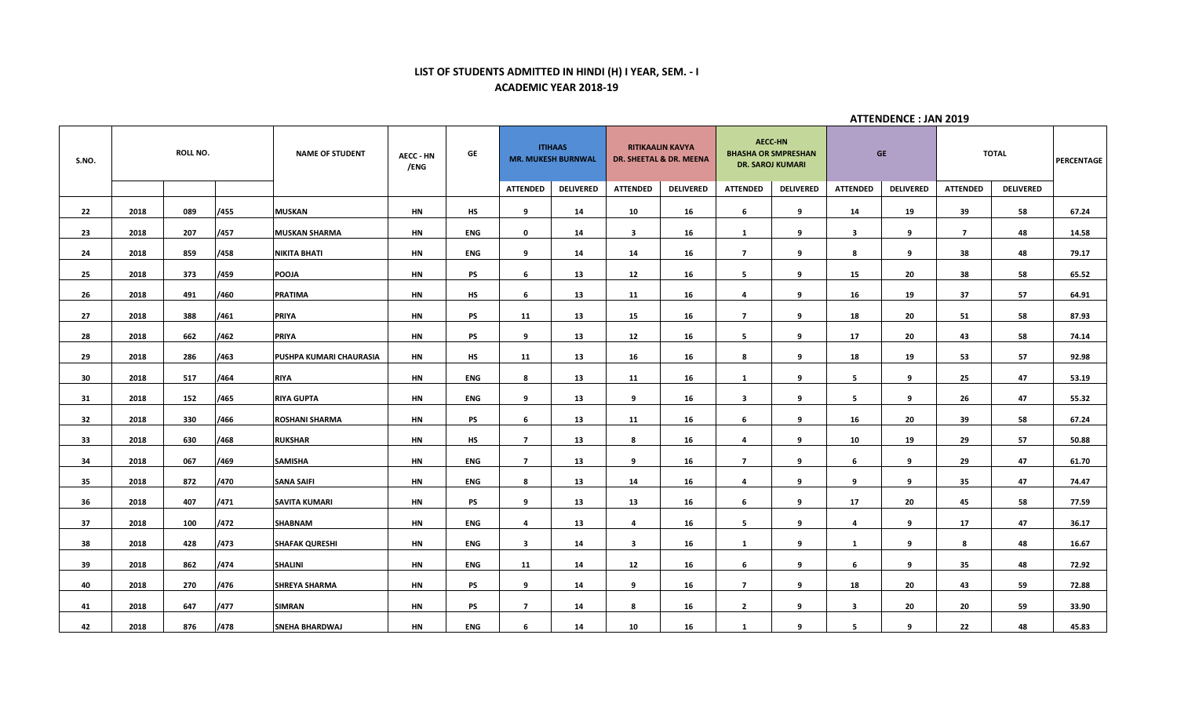# **LIST OF STUDENTS ADMITTED IN HINDI (H) I YEAR, SEM. - I ACADEMIC YEAR 2018-19**

| S.NO. |      | <b>ROLL NO.</b> |      | <b>NAME OF STUDENT</b>  | <b>AECC - HN</b><br>/ENG | GE         |                         | <b>ITIHAAS</b><br><b>MR. MUKESH BURNWAL</b> |                 | <b>RITIKAALIN KAVYA</b><br>DR. SHEETAL & DR. MEENA |                         | <b>AECC-HN</b><br><b>BHASHA OR SMPRESHAN</b><br><b>DR. SAROJ KUMARI</b> |                         | <b>GE</b>        |                 | <b>TOTAL</b>     | <b>PERCENTAGE</b> |
|-------|------|-----------------|------|-------------------------|--------------------------|------------|-------------------------|---------------------------------------------|-----------------|----------------------------------------------------|-------------------------|-------------------------------------------------------------------------|-------------------------|------------------|-----------------|------------------|-------------------|
|       |      |                 |      |                         |                          |            | <b>ATTENDED</b>         | <b>DELIVERED</b>                            | <b>ATTENDED</b> | <b>DELIVERED</b>                                   | <b>ATTENDED</b>         | <b>DELIVERED</b>                                                        | <b>ATTENDED</b>         | <b>DELIVERED</b> | <b>ATTENDED</b> | <b>DELIVERED</b> |                   |
| 22    | 2018 | 089             | /455 | <b>MUSKAN</b>           | HN                       | HS         | 9                       | 14                                          | 10              | 16                                                 | 6                       | 9                                                                       | 14                      | 19               | 39              | 58               | 67.24             |
| 23    | 2018 | 207             | /457 | <b>MUSKAN SHARMA</b>    | HN                       | <b>ENG</b> | $\mathbf 0$             | 14                                          | $\mathbf{3}$    | 16                                                 | <b>1</b>                | 9                                                                       | $\overline{\mathbf{3}}$ | 9                | $\overline{7}$  | 48               | 14.58             |
| 24    | 2018 | 859             | /458 | <b>NIKITA BHATI</b>     | HN                       | ENG        | 9                       | 14                                          | 14              | 16                                                 | $\overline{7}$          | 9                                                                       | 8                       | 9                | 38              | 48               | 79.17             |
| 25    | 2018 | 373             | /459 | POOJA                   | HN                       | PS         | 6                       | 13                                          | 12              | 16                                                 | 5                       | 9                                                                       | 15                      | 20               | 38              | 58               | 65.52             |
| 26    | 2018 | 491             | /460 | <b>PRATIMA</b>          | HN                       | НS         | 6                       | 13                                          | 11              | 16                                                 | $\overline{\mathbf{4}}$ | 9                                                                       | 16                      | 19               | 37              | 57               | 64.91             |
| 27    | 2018 | 388             | /461 | <b>PRIYA</b>            | HN                       | PS         | 11                      | 13                                          | 15              | 16                                                 | $\overline{7}$          | 9                                                                       | 18                      | 20               | 51              | 58               | 87.93             |
| 28    | 2018 | 662             | /462 | <b>PRIYA</b>            | <b>HN</b>                | PS         | 9                       | 13                                          | 12              | 16                                                 | 5                       | 9                                                                       | 17                      | 20               | 43              | 58               | 74.14             |
| 29    | 2018 | 286             | /463 | PUSHPA KUMARI CHAURASIA | HN                       | HS         | 11                      | 13                                          | 16              | 16                                                 | 8                       | 9                                                                       | 18                      | 19               | 53              | 57               | 92.98             |
| 30    | 2018 | 517             | /464 | RIYA                    | HN                       | <b>ENG</b> | 8                       | 13                                          | 11              | 16                                                 | 1                       | 9                                                                       | 5                       | 9                | 25              | 47               | 53.19             |
| 31    | 2018 | 152             | /465 | <b>RIYA GUPTA</b>       | HN                       | <b>ENG</b> | 9                       | 13                                          | 9               | 16                                                 | $\overline{\mathbf{3}}$ | 9                                                                       | 5                       | 9                | 26              | 47               | 55.32             |
| 32    | 2018 | 330             | /466 | <b>ROSHANI SHARMA</b>   | HN                       | PS         | 6                       | 13                                          | 11              | 16                                                 | 6                       | 9                                                                       | 16                      | 20               | 39              | 58               | 67.24             |
| 33    | 2018 | 630             | /468 | <b>RUKSHAR</b>          | HN                       | <b>HS</b>  | $\overline{7}$          | 13                                          | 8               | 16                                                 | 4                       | 9                                                                       | 10                      | 19               | 29              | 57               | 50.88             |
| 34    | 2018 | 067             | /469 | <b>SAMISHA</b>          | HN                       | <b>ENG</b> | $\overline{7}$          | 13                                          | 9               | 16                                                 | $\overline{7}$          | 9                                                                       | 6                       | -9               | 29              | 47               | 61.70             |
| 35    | 2018 | 872             | /470 | <b>SANA SAIFI</b>       | HN                       | ENG        | 8                       | 13                                          | 14              | 16                                                 | $\overline{\mathbf{4}}$ | 9                                                                       | 9                       | 9                | 35              | 47               | 74.47             |
| 36    | 2018 | 407             | /471 | <b>SAVITA KUMARI</b>    | HN                       | PS         | 9                       | 13                                          | 13              | 16                                                 | 6                       | 9                                                                       | 17                      | 20               | 45              | 58               | 77.59             |
| 37    | 2018 | 100             | /472 | SHABNAM                 | HN                       | ENG        | 4                       | 13                                          | 4               | 16                                                 | 5                       | 9                                                                       | 4                       | 9                | 17              | 47               | 36.17             |
| 38    | 2018 | 428             | /473 | <b>SHAFAK QURESHI</b>   | HN                       | ENG        | $\overline{\mathbf{3}}$ | 14                                          | $\mathbf{3}$    | 16                                                 | 1                       | 9                                                                       | $\mathbf{1}$            | 9                | 8               | 48               | 16.67             |
| 39    | 2018 | 862             | /474 | <b>SHALINI</b>          | HN                       | <b>ENG</b> | 11                      | 14                                          | 12              | 16                                                 | 6                       | 9                                                                       | 6                       | 9                | 35              | 48               | 72.92             |
| 40    | 2018 | 270             | /476 | <b>SHREYA SHARMA</b>    | HN                       | PS         | 9                       | 14                                          | 9               | 16                                                 | $\overline{7}$          | 9                                                                       | 18                      | 20               | 43              | 59               | 72.88             |
| 41    | 2018 | 647             | /477 | <b>SIMRAN</b>           | HN                       | PS         | $\overline{7}$          | 14                                          | 8               | 16                                                 | $\overline{2}$          | 9                                                                       | $\mathbf{3}$            | 20               | 20              | 59               | 33.90             |
| 42    | 2018 | 876             | /478 | <b>SNEHA BHARDWAJ</b>   | HN                       | <b>ENG</b> | 6                       | 14                                          | 10              | 16                                                 | $\mathbf{1}$            | 9                                                                       | 5                       | 9                | 22              | 48               | 45.83             |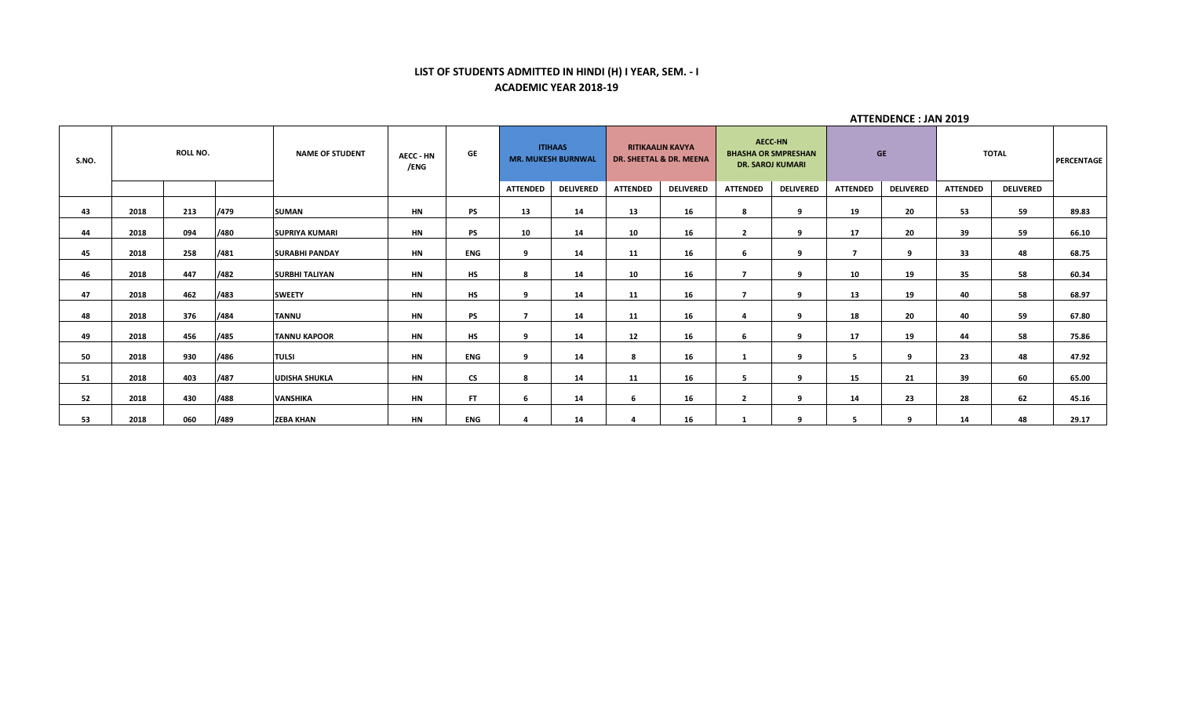# **LIST OF STUDENTS ADMITTED IN HINDI (H) I YEAR, SEM. - I ACADEMIC YEAR 2018-19**

| S.NO. |      | <b>ROLL NO.</b> |      | <b>NAME OF STUDENT</b> | <b>AECC - HN</b><br>/ENG | GE        |                 | <b>ITIHAAS</b><br><b>MR. MUKESH BURNWAL</b> |                 | <b>RITIKAALIN KAVYA</b><br>DR. SHEETAL & DR. MEENA | <b>BHASHA OR SMPRESHAN</b><br><b>DR. SAROJ KUMARI</b> | <b>AECC-HN</b>   |                 | <b>GE</b>        |                 | <b>TOTAL</b>     | <b>PERCENTAGE</b> |
|-------|------|-----------------|------|------------------------|--------------------------|-----------|-----------------|---------------------------------------------|-----------------|----------------------------------------------------|-------------------------------------------------------|------------------|-----------------|------------------|-----------------|------------------|-------------------|
|       |      |                 |      |                        |                          |           | <b>ATTENDED</b> | <b>DELIVERED</b>                            | <b>ATTENDED</b> | <b>DELIVERED</b>                                   | <b>ATTENDED</b>                                       | <b>DELIVERED</b> | <b>ATTENDED</b> | <b>DELIVERED</b> | <b>ATTENDED</b> | <b>DELIVERED</b> |                   |
| 43    | 2018 | 213             | /479 | <b>SUMAN</b>           | HN                       | <b>PS</b> | 13              | 14                                          | 13              | 16                                                 | 8                                                     | 9                | 19              | 20               | 53              | 59               | 89.83             |
| 44    | 2018 | 094             | /480 | <b>SUPRIYA KUMARI</b>  | HN                       | PS        | 10              | 14                                          | 10              | 16                                                 | $\overline{2}$                                        | ٩                | 17              | 20               | 39              | 59               | 66.10             |
| 45    | 2018 | 258             | /481 | <b>SURABHI PANDAY</b>  | HN                       | ENG       | 9               | 14                                          | 11              | 16                                                 | 6                                                     | 9                | –               | 9                | 33              | 48               | 68.75             |
| 46    | 2018 | 447             | /482 | <b>SURBHI TALIYAN</b>  | HN                       | HS        | 8               | 14                                          | 10              | 16                                                 | $\overline{ }$                                        | -9               | 10              | 19               | 35              | 58               | 60.34             |
| 47    | 2018 | 462             | /483 | <b>SWEETY</b>          | HN                       | <b>HS</b> | 9               | 14                                          | 11              | 16                                                 | $\overline{ }$                                        | 9                | 13              | 19               | 40              | 58               | 68.97             |
| 48    | 2018 | 376             | /484 | <b>TANNU</b>           | <b>HN</b>                | <b>PS</b> | $\overline{7}$  | 14                                          | 11              | 16                                                 | 4                                                     | 9                | 18              | 20               | 40              | 59               | 67.80             |
| 49    | 2018 | 456             | /485 | <b>TANNU KAPOOR</b>    | HN                       | <b>HS</b> | q               | 14                                          | 12              | 16                                                 | 6                                                     | - 9              | 17              | 19               | 44              | 58               | 75.86             |
| 50    | 2018 | 930             | /486 | <b>TULSI</b>           | HN                       | ENG       | 9               | 14                                          | 8               | 16                                                 |                                                       | 9                | 5               | 9                | 23              | 48               | 47.92             |
| 51    | 2018 | 403             | /487 | <b>UDISHA SHUKLA</b>   | <b>HN</b>                | <b>CS</b> | 8               | 14                                          | 11              | 16                                                 | 5.                                                    | 9                | 15              | 21               | 39              | 60               | 65.00             |
| 52    | 2018 | 430             | /488 | <b>VANSHIKA</b>        | <b>HN</b>                | <b>FT</b> | 6               | 14                                          | 6               | 16                                                 | $\overline{2}$                                        | 9                | 14              | 23               | 28              | 62               | 45.16             |
| 53    | 2018 | 060             | /489 | <b>ZEBA KHAN</b>       | HN                       | ENG       |                 | 14                                          |                 | 16                                                 |                                                       | $\alpha$         |                 | $\alpha$         | 14              | 48               | 29.17             |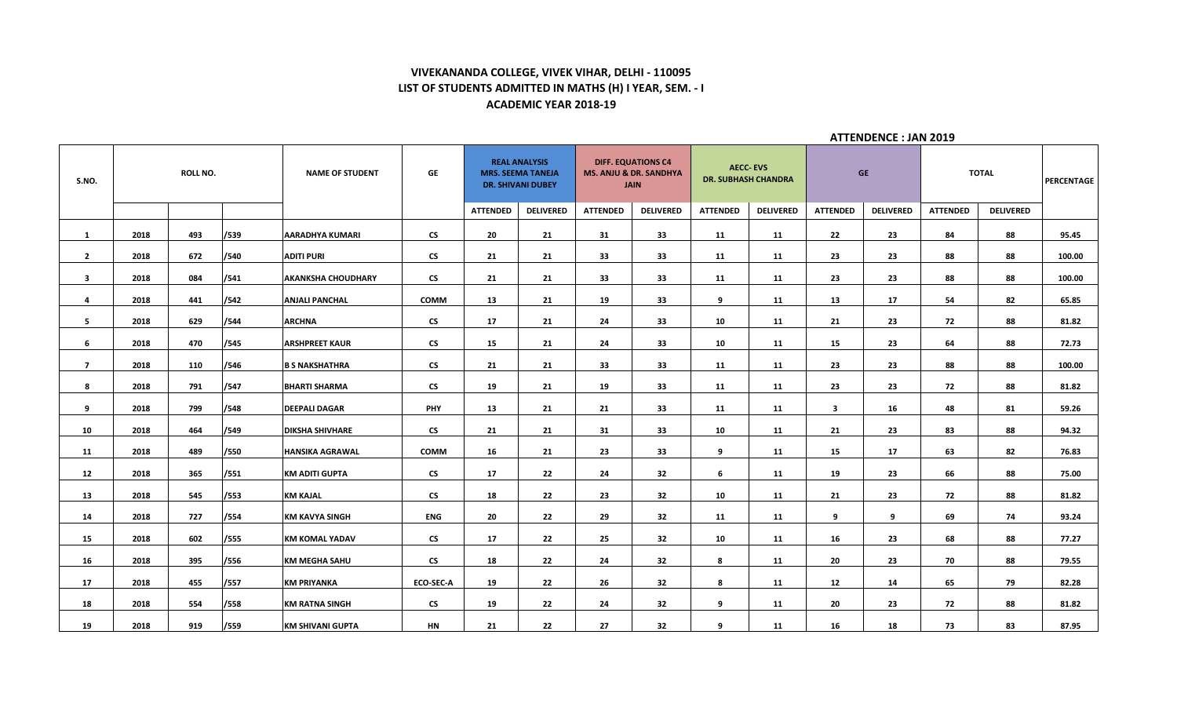# **VIVEKANANDA COLLEGE, VIVEK VIHAR, DELHI - 110095 LIST OF STUDENTS ADMITTED IN MATHS (H) I YEAR, SEM. - I ACADEMIC YEAR 2018-19**

| S.NO.                   |      | <b>ROLL NO.</b> |      | <b>NAME OF STUDENT</b>    | GE                       |                 | <b>REAL ANALYSIS</b><br><b>MRS. SEEMA TANEJA</b><br><b>DR. SHIVANI DUBEY</b> |                 | <b>DIFF. EQUATIONS C4</b><br><b>MS. ANJU &amp; DR. SANDHYA</b><br><b>JAIN</b> |                 | <b>AECC-EVS</b><br><b>DR. SUBHASH CHANDRA</b> |                         | <b>GE</b>        |                 | <b>TOTAL</b>     | PERCENTAGE |
|-------------------------|------|-----------------|------|---------------------------|--------------------------|-----------------|------------------------------------------------------------------------------|-----------------|-------------------------------------------------------------------------------|-----------------|-----------------------------------------------|-------------------------|------------------|-----------------|------------------|------------|
|                         |      |                 |      |                           |                          | <b>ATTENDED</b> | <b>DELIVERED</b>                                                             | <b>ATTENDED</b> | <b>DELIVERED</b>                                                              | <b>ATTENDED</b> | <b>DELIVERED</b>                              | <b>ATTENDED</b>         | <b>DELIVERED</b> | <b>ATTENDED</b> | <b>DELIVERED</b> |            |
| $\mathbf{1}$            | 2018 | 493             | /539 | <b>AARADHYA KUMARI</b>    | $\mathsf{c}\mathsf{s}$   | 20              | 21                                                                           | 31              | 33                                                                            | 11              | 11                                            | 22                      | 23               | 84              | 88               | 95.45      |
| $\overline{2}$          | 2018 | 672             | /540 | <b>ADITI PURI</b>         | <b>CS</b>                | 21              | 21                                                                           | 33              | 33                                                                            | 11              | 11                                            | 23                      | 23               | 88              | 88               | 100.00     |
| $\overline{\mathbf{3}}$ | 2018 | 084             | /541 | <b>AKANKSHA CHOUDHARY</b> | $\mathsf{CS}$            | 21              | 21                                                                           | 33              | 33                                                                            | 11              | 11                                            | 23                      | 23               | 88              | 88               | 100.00     |
| 4                       | 2018 | 441             | /542 | <b>ANJALI PANCHAL</b>     | <b>COMM</b>              | 13              | 21                                                                           | 19              | 33                                                                            | 9               | 11                                            | 13                      | 17               | 54              | 82               | 65.85      |
| 5                       | 2018 | 629             | /544 | <b>ARCHNA</b>             | <b>CS</b>                | 17              | 21                                                                           | 24              | 33                                                                            | 10              | 11                                            | 21                      | 23               | 72              | 88               | 81.82      |
| 6                       | 2018 | 470             | /545 | <b>ARSHPREET KAUR</b>     | <b>CS</b>                | 15              | 21                                                                           | 24              | 33                                                                            | 10              | 11                                            | 15                      | 23               | 64              | 88               | 72.73      |
| $\overline{7}$          | 2018 | 110             | /546 | <b>B S NAKSHATHRA</b>     | <b>CS</b>                | 21              | 21                                                                           | 33              | 33                                                                            | 11              | 11                                            | 23                      | 23               | 88              | 88               | 100.00     |
| 8                       | 2018 | 791             | /547 | <b>BHARTI SHARMA</b>      | <b>CS</b>                | 19              | 21                                                                           | 19              | 33                                                                            | 11              | 11                                            | 23                      | 23               | 72              | 88               | 81.82      |
| 9                       | 2018 | 799             | /548 | <b>DEEPALI DAGAR</b>      | <b>PHY</b>               | 13              | 21                                                                           | 21              | 33                                                                            | 11              | 11                                            | $\overline{\mathbf{3}}$ | 16               | 48              | 81               | 59.26      |
| 10                      | 2018 | 464             | /549 | <b>DIKSHA SHIVHARE</b>    | <b>CS</b>                | 21              | 21                                                                           | 31              | 33                                                                            | 10              | 11                                            | 21                      | 23               | 83              | 88               | 94.32      |
| 11                      | 2018 | 489             | /550 | <b>HANSIKA AGRAWAL</b>    | <b>COMM</b>              | 16              | 21                                                                           | 23              | 33                                                                            | 9               | 11                                            | 15                      | 17               | 63              | 82               | 76.83      |
| 12                      | 2018 | 365             | /551 | <b>KM ADITI GUPTA</b>     | <b>CS</b>                | 17              | 22                                                                           | 24              | 32                                                                            | 6               | 11                                            | 19                      | 23               | 66              | 88               | 75.00      |
| 13                      | 2018 | 545             | /553 | <b>KM KAJAL</b>           | $\mathsf{c}\mathsf{s}$   | 18              | 22                                                                           | 23              | 32                                                                            | 10              | 11                                            | 21                      | 23               | 72              | 88               | 81.82      |
| 14                      | 2018 | 727             | /554 | <b>KM KAVYA SINGH</b>     | <b>ENG</b>               | 20              | 22                                                                           | 29              | 32                                                                            | 11              | 11                                            | 9                       | 9                | 69              | 74               | 93.24      |
| 15                      | 2018 | 602             | /555 | <b>KM KOMAL YADAV</b>     | <b>CS</b>                | 17              | 22                                                                           | 25              | 32                                                                            | 10              | 11                                            | 16                      | 23               | 68              | 88               | 77.27      |
| 16                      | 2018 | 395             | /556 |                           | $\mathsf{CS}\phantom{0}$ |                 | 22                                                                           |                 |                                                                               |                 |                                               |                         |                  |                 |                  | 79.55      |
|                         |      |                 |      | <b>KM MEGHA SAHU</b>      |                          | 18              |                                                                              | 24              | 32                                                                            | 8               | 11                                            | 20                      | 23               | 70              | 88               |            |
| 17                      | 2018 | 455             | /557 | <b>KM PRIYANKA</b>        | ECO-SEC-A                | 19              | 22                                                                           | 26              | 32                                                                            | 8               | 11                                            | 12                      | 14               | 65              | 79               | 82.28      |
| 18                      | 2018 | 554             | /558 | <b>KM RATNA SINGH</b>     | <b>CS</b>                | 19              | 22                                                                           | 24              | 32                                                                            | 9               | 11                                            | 20                      | 23               | 72              | 88               | 81.82      |
| 19                      | 2018 | 919             | /559 | <b>KM SHIVANI GUPTA</b>   | <b>HN</b>                | 21              | 22                                                                           | 27              | 32                                                                            | 9               | 11                                            | 16                      | 18               | 73              | 83               | 87.95      |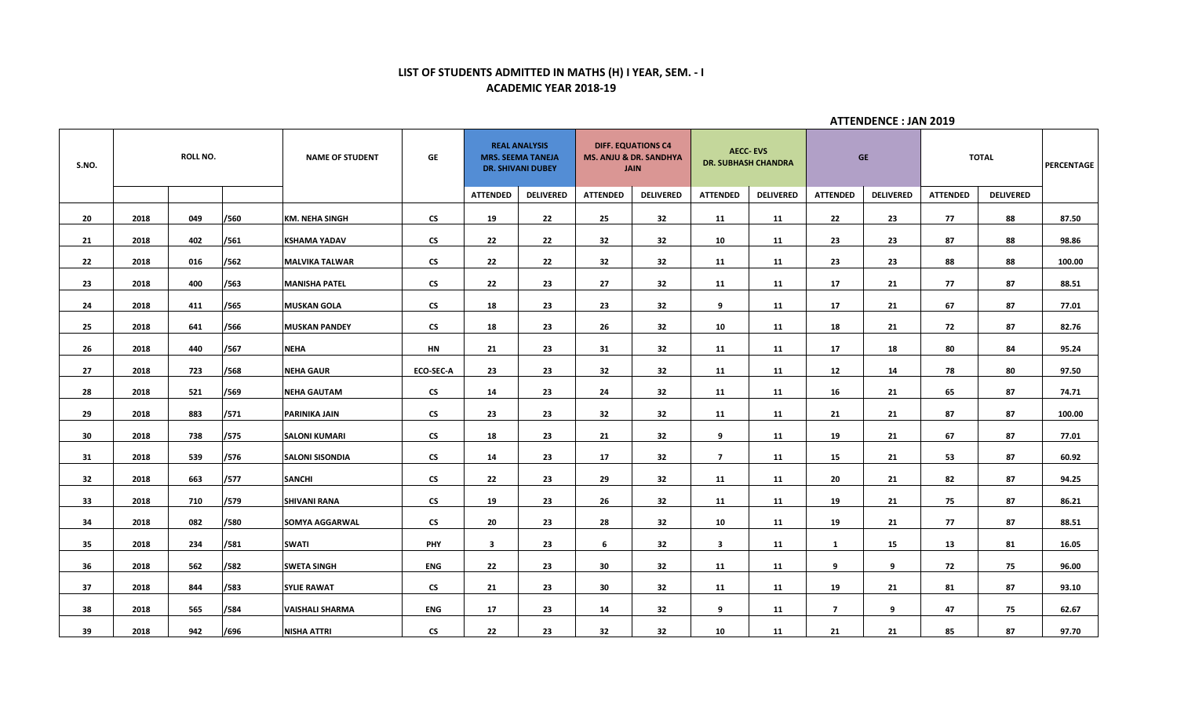# **LIST OF STUDENTS ADMITTED IN MATHS (H) I YEAR, SEM. - I ACADEMIC YEAR 2018-19**

| S.NO. | <b>ROLL NO.</b> |     | <b>NAME OF STUDENT</b> | GE                     | <b>REAL ANALYSIS</b><br><b>MRS. SEEMA TANEJA</b><br><b>DR. SHIVANI DUBEY</b> |                         |                  | <b>DIFF. EQUATIONS C4</b><br><b>MS. ANJU &amp; DR. SANDHYA</b><br><b>JAIN</b> | <b>DR. SUBHASH CHANDRA</b> | <b>AECC-EVS</b>         |                  | <b>GE</b>       | <b>TOTAL</b>     | PERCENTAGE      |                  |        |
|-------|-----------------|-----|------------------------|------------------------|------------------------------------------------------------------------------|-------------------------|------------------|-------------------------------------------------------------------------------|----------------------------|-------------------------|------------------|-----------------|------------------|-----------------|------------------|--------|
|       |                 |     |                        |                        |                                                                              | <b>ATTENDED</b>         | <b>DELIVERED</b> | <b>ATTENDED</b>                                                               | <b>DELIVERED</b>           | <b>ATTENDED</b>         | <b>DELIVERED</b> | <b>ATTENDED</b> | <b>DELIVERED</b> | <b>ATTENDED</b> | <b>DELIVERED</b> |        |
| 20    | 2018            | 049 | /560                   | <b>KM. NEHA SINGH</b>  | <b>CS</b>                                                                    | 19                      | 22               | 25                                                                            | 32                         | 11                      | 11               | 22              | 23               | 77              | 88               | 87.50  |
| 21    | 2018            | 402 | /561                   | <b>KSHAMA YADAV</b>    | $\mathsf{CS}\phantom{0}$                                                     | 22                      | 22               | 32                                                                            | 32                         | 10                      | 11               | 23              | 23               | 87              | 88               | 98.86  |
| 22    | 2018            | 016 | /562                   | <b>MALVIKA TALWAR</b>  | $\mathsf{CS}$                                                                | 22                      | 22               | 32                                                                            | 32                         | 11                      | 11               | 23              | 23               | 88              | 88               | 100.00 |
| 23    | 2018            | 400 | /563                   | <b>MANISHA PATEL</b>   | $\mathsf{CS}\phantom{0}$                                                     | 22                      | 23               | 27                                                                            | 32                         | 11                      | 11               | 17              | 21               | 77              | 87               | 88.51  |
| 24    | 2018            | 411 | /565                   | <b>MUSKAN GOLA</b>     | $\mathsf{CS}\phantom{0}$                                                     | 18                      | 23               | 23                                                                            | 32                         | 9                       | 11               | 17              | 21               | 67              | 87               | 77.01  |
| 25    | 2018            | 641 | /566                   | <b>MUSKAN PANDEY</b>   | $\mathsf{CS}\phantom{0}$                                                     | 18                      | 23               | 26                                                                            | 32                         | 10                      | 11               | 18              | 21               | 72              | 87               | 82.76  |
| 26    | 2018            | 440 | /567                   | <b>NEHA</b>            | <b>HN</b>                                                                    | 21                      | 23               | 31                                                                            | 32                         | 11                      | 11               | 17              | 18               | 80              | 84               | 95.24  |
| 27    | 2018            | 723 | /568                   | <b>NEHA GAUR</b>       | <b>ECO-SEC-A</b>                                                             | 23                      | 23               | 32                                                                            | 32                         | 11                      | 11               | 12              | 14               | 78              | 80               | 97.50  |
| 28    | 2018            | 521 | /569                   | <b>NEHA GAUTAM</b>     | $\mathsf{CS}\phantom{0}$                                                     | 14                      | 23               | 24                                                                            | 32                         | 11                      | 11               | 16              | 21               | 65              | 87               | 74.71  |
| 29    | 2018            | 883 | /571                   | <b>PARINIKA JAIN</b>   | $\mathsf{c}\mathsf{s}$                                                       | 23                      | 23               | 32                                                                            | 32                         | 11                      | 11               | 21              | 21               | 87              | 87               | 100.00 |
| 30    | 2018            | 738 | /575                   | <b>SALONI KUMARI</b>   | $\mathsf{CS}\phantom{0}$                                                     | 18                      | 23               | 21                                                                            | 32                         | 9                       | 11               | 19              | 21               | 67              | 87               | 77.01  |
| 31    | 2018            | 539 | /576                   | <b>SALONI SISONDIA</b> | <b>CS</b>                                                                    | 14                      | 23               | 17                                                                            | 32                         | $\overline{7}$          | 11               | 15              | 21               | 53              | 87               | 60.92  |
| 32    | 2018            | 663 | /577                   | <b>SANCHI</b>          | $\mathsf{c}\mathsf{s}$                                                       | 22                      | 23               | 29                                                                            | 32                         | 11                      | 11               | 20              | 21               | 82              | 87               | 94.25  |
| 33    | 2018            | 710 | /579                   | <b>SHIVANI RANA</b>    | $\mathsf{c}\mathsf{s}$                                                       | 19                      | 23               | 26                                                                            | 32                         | 11                      | 11               | 19              | 21               | 75              | 87               | 86.21  |
| 34    | 2018            | 082 | /580                   | <b>SOMYA AGGARWAL</b>  | <b>CS</b>                                                                    | 20                      | 23               | 28                                                                            | 32                         | 10                      | 11               | 19              | 21               | 77              | 87               | 88.51  |
| 35    | 2018            | 234 | /581                   | <b>SWATI</b>           | PHY                                                                          | $\overline{\mathbf{3}}$ | 23               | 6                                                                             | 32                         | $\overline{\mathbf{3}}$ | 11               | 1               | 15               | 13              | 81               | 16.05  |
| 36    | 2018            | 562 | /582                   | <b>SWETA SINGH</b>     | <b>ENG</b>                                                                   | 22                      | 23               | 30                                                                            | 32                         | 11                      | 11               | 9               | 9                | 72              | 75               | 96.00  |
| 37    | 2018            | 844 | /583                   | <b>SYLIE RAWAT</b>     | <b>CS</b>                                                                    | 21                      | 23               | 30                                                                            | 32                         | 11                      | 11               | 19              | 21               | 81              | 87               | 93.10  |
| 38    | 2018            | 565 | /584                   | <b>VAISHALI SHARMA</b> | ENG                                                                          | 17                      | 23               | 14                                                                            | 32                         | 9                       | 11               | $\overline{7}$  | 9                | 47              | 75               | 62.67  |
| 39    | 2018            | 942 | /696                   | <b>NISHA ATTRI</b>     | $\mathsf{CS}\phantom{0}$                                                     | 22                      | 23               | 32                                                                            | 32                         | 10                      | 11               | 21              | 21               | 85              | 87               | 97.70  |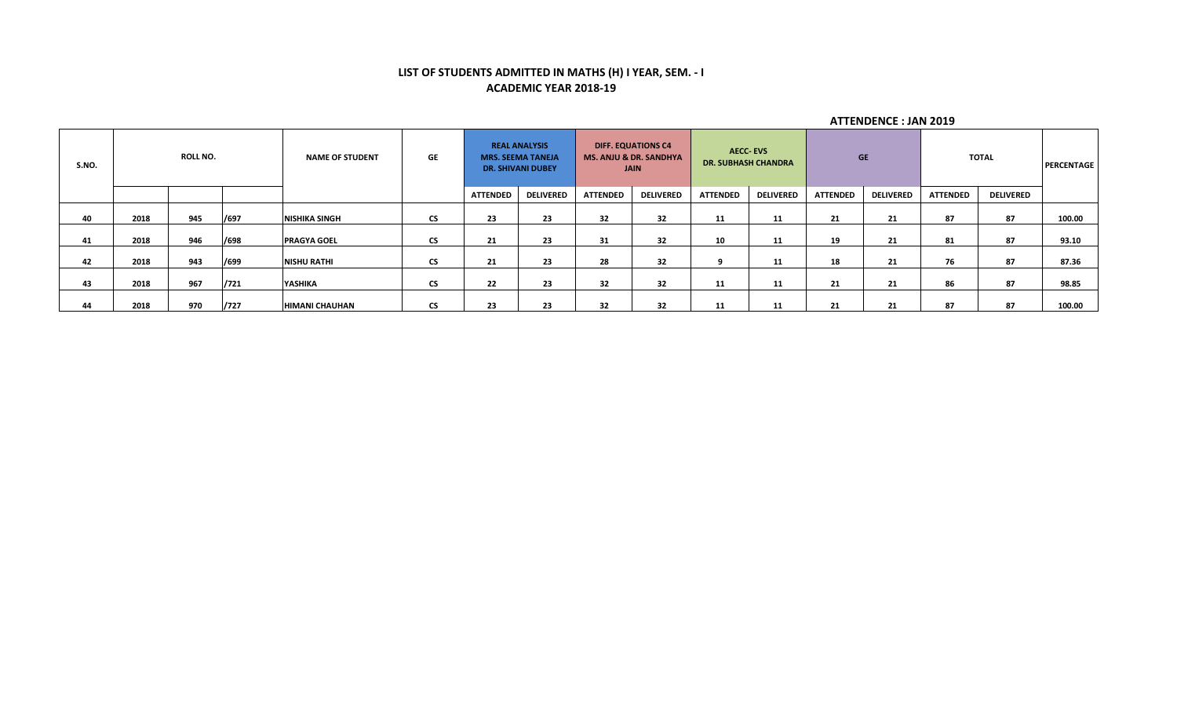# **LIST OF STUDENTS ADMITTED IN MATHS (H) I YEAR, SEM. - I ACADEMIC YEAR 2018-19**

| S.NO. | <b>ROLL NO.</b> |     | <b>NAME OF STUDENT</b> | <b>GE</b>             | <b>REAL ANALYSIS</b><br><b>MRS. SEEMA TANEJA</b><br><b>DR. SHIVANI DUBEY</b> |                 | <b>DIFF. EQUATIONS C4</b><br><b>MS. ANJU &amp; DR. SANDHYA</b><br><b>JAIN</b> |                 | <b>AECC-EVS</b><br><b>DR. SUBHASH CHANDRA</b> |                 | <b>GE</b>        |                 | TOTAL            |                 | <b>PERCENTAGE</b> |        |
|-------|-----------------|-----|------------------------|-----------------------|------------------------------------------------------------------------------|-----------------|-------------------------------------------------------------------------------|-----------------|-----------------------------------------------|-----------------|------------------|-----------------|------------------|-----------------|-------------------|--------|
|       |                 |     |                        |                       |                                                                              | <b>ATTENDED</b> | <b>DELIVERED</b>                                                              | <b>ATTENDED</b> | <b>DELIVERED</b>                              | <b>ATTENDED</b> | <b>DELIVERED</b> | <b>ATTENDED</b> | <b>DELIVERED</b> | <b>ATTENDED</b> | <b>DELIVERED</b>  |        |
| 40    | 2018            | 945 | /697                   | <b>NISHIKA SINGH</b>  | $\mathsf{CS}\phantom{0}$                                                     | 23              | 23                                                                            | 32              | 32                                            | 11              | 11               | 21              | 21               | 87              | 87                | 100.00 |
| 41    | 2018            | 946 | /698                   | <b>PRAGYA GOEL</b>    | <b>CS</b>                                                                    | 21              | 23                                                                            | 31              | 32                                            | 10              | 11               | 19              | 21               | 81              | 87                | 93.10  |
| 42    | 2018            | 943 | /699                   | <b>NISHU RATHI</b>    | $\mathsf{CS}\phantom{0}$                                                     | 21              | 23                                                                            | 28              | 32                                            |                 | 11               | 18              | 21               | 76              | 87                | 87.36  |
| 43    | 2018            | 967 | /721                   | YASHIKA               | <b>CS</b>                                                                    | 22              | 23                                                                            | 32              | 32                                            | 11              | 11               | 21              | 21               | 86              | 87                | 98.85  |
| 44    | 2018            | 970 | /727                   | <b>HIMANI CHAUHAN</b> | <b>CS</b>                                                                    | 23              | 23                                                                            | 32              | 32                                            | 11              | 11               | 21              | 21               | 87              | 87                | 100.00 |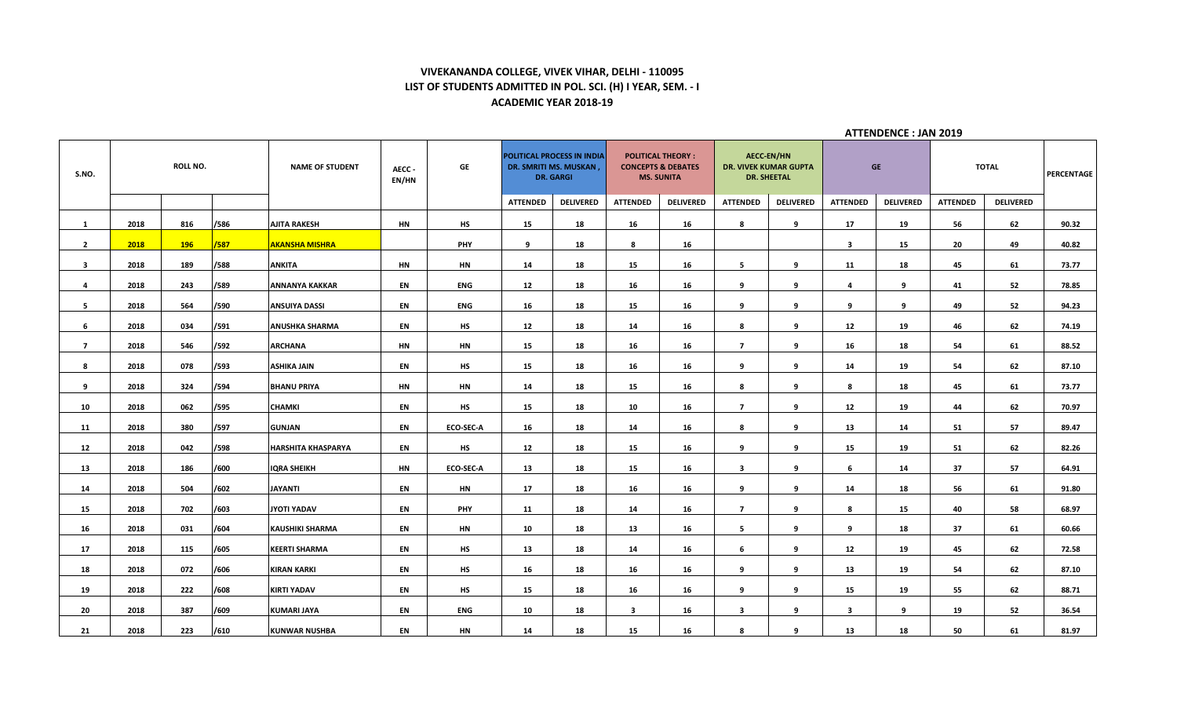## **VIVEKANANDA COLLEGE, VIVEK VIHAR, DELHI - 110095 LIST OF STUDENTS ADMITTED IN POL. SCI. (H) I YEAR, SEM. - I ACADEMIC YEAR 2018-19**

| S.NO.          | <b>ROLL NO.</b> |            | <b>NAME OF STUDENT</b> | AECC-<br>EN/HN            | GE        | POLITICAL PROCESS IN INDIA<br>DR. SMRITI MS. MUSKAN,<br><b>DR. GARGI</b> |                 | <b>POLITICAL THEORY:</b><br><b>CONCEPTS &amp; DEBATES</b><br><b>MS. SUNITA</b> |                         | <b>AECC-EN/HN</b><br><b>DR. VIVEK KUMAR GUPTA</b><br><b>DR. SHEETAL</b> |                         | <b>GE</b>        |                         | <b>TOTAL</b>     |                 | <b>PERCENTAGE</b> |       |
|----------------|-----------------|------------|------------------------|---------------------------|-----------|--------------------------------------------------------------------------|-----------------|--------------------------------------------------------------------------------|-------------------------|-------------------------------------------------------------------------|-------------------------|------------------|-------------------------|------------------|-----------------|-------------------|-------|
|                |                 |            |                        |                           |           |                                                                          | <b>ATTENDED</b> | <b>DELIVERED</b>                                                               | <b>ATTENDED</b>         | <b>DELIVERED</b>                                                        | <b>ATTENDED</b>         | <b>DELIVERED</b> | <b>ATTENDED</b>         | <b>DELIVERED</b> | <b>ATTENDED</b> | <b>DELIVERED</b>  |       |
| $\mathbf{1}$   | 2018            | 816        | /586                   | <b>AJITA RAKESH</b>       | <b>HN</b> | HS                                                                       | 15              | 18                                                                             | 16                      | 16                                                                      | 8                       | 9                | 17                      | 19               | 56              | 62                | 90.32 |
| $\overline{2}$ | 2018            | <b>196</b> | /587                   | <b>AKANSHA MISHRA</b>     |           | PHY                                                                      | 9               | 18                                                                             | 8                       | 16                                                                      |                         |                  | $\overline{\mathbf{3}}$ | 15               | 20              | 49                | 40.82 |
| 3 <sup>1</sup> | 2018            | 189        | /588                   | <b>ANKITA</b>             | <b>HN</b> | <b>HN</b>                                                                | 14              | 18                                                                             | 15                      | 16                                                                      | 5                       | 9                | 11                      | 18               | 45              | 61                | 73.77 |
| 4              | 2018            | 243        | /589                   | ANNANYA KAKKAR            | EN        | ENG                                                                      | 12              | 18                                                                             | 16                      | 16                                                                      | 9                       | 9                | 4                       | 9                | 41              | 52                | 78.85 |
| 5              | 2018            | 564        | /590                   | <b>ANSUIYA DASSI</b>      | EN        | ENG                                                                      | 16              | 18                                                                             | 15                      | 16                                                                      | 9                       | 9                | 9                       | 9                | 49              | 52                | 94.23 |
| 6              | 2018            | 034        | /591                   | ANUSHKA SHARMA            | EN        | <b>HS</b>                                                                | 12              | 18                                                                             | 14                      | 16                                                                      | 8                       | 9                | 12                      | 19               | 46              | 62                | 74.19 |
| $\overline{7}$ | 2018            | 546        | /592                   | <b>ARCHANA</b>            | <b>HN</b> | HN                                                                       | 15              | 18                                                                             | 16                      | 16                                                                      | $\overline{7}$          | 9                | 16                      | 18               | 54              | 61                | 88.52 |
| 8              | 2018            | 078        | /593                   | ASHIKA JAIN               | EN        | <b>HS</b>                                                                | 15              | 18                                                                             | 16                      | 16                                                                      | 9                       | 9                | 14                      | 19               | 54              | 62                | 87.10 |
| 9              | 2018            | 324        | /594                   | <b>BHANU PRIYA</b>        | HN        | <b>HN</b>                                                                | 14              | 18                                                                             | 15                      | 16                                                                      | 8                       | 9                | 8                       | 18               | 45              | 61                | 73.77 |
| 10             | 2018            | 062        | /595                   | <b>CHAMKI</b>             | EN        | HS                                                                       | 15              | 18                                                                             | 10                      | 16                                                                      | $\overline{7}$          | 9                | 12                      | 19               | 44              | 62                | 70.97 |
| 11             | 2018            | 380        | /597                   | GUNJAN                    | EN        | <b>ECO-SEC-A</b>                                                         | 16              | 18                                                                             | 14                      | 16                                                                      | 8                       | 9                | 13                      | 14               | 51              | 57                | 89.47 |
| 12             | 2018            | 042        | /598                   | <b>HARSHITA KHASPARYA</b> | EN        | HS                                                                       | 12              | 18                                                                             | 15                      | 16                                                                      | 9                       | 9                | 15                      | 19               | 51              | 62                | 82.26 |
| 13             | 2018            | 186        | /600                   | <b>IQRA SHEIKH</b>        | <b>HN</b> | <b>ECO-SEC-A</b>                                                         | 13              | 18                                                                             | 15                      | 16                                                                      | $\overline{\mathbf{3}}$ | 9                | 6                       | 14               | 37              | 57                | 64.91 |
| 14             | 2018            | 504        | /602                   | <b>JAYANTI</b>            | EN        | <b>HN</b>                                                                | 17              | 18                                                                             | 16                      | 16                                                                      | 9                       | 9                | 14                      | 18               | 56              | 61                | 91.80 |
| 15             | 2018            | 702        | /603                   | JYOTI YADAV               | EN        | <b>PHY</b>                                                               | 11              | 18                                                                             | 14                      | 16                                                                      | $\overline{7}$          | 9                | 8                       | 15               | 40              | 58                | 68.97 |
| 16             | 2018            | 031        | /604                   | <b>KAUSHIKI SHARMA</b>    | EN        | HN                                                                       | 10              | 18                                                                             | 13                      | 16                                                                      | 5                       | 9                | 9                       | 18               | 37              | 61                | 60.66 |
| 17             | 2018            | 115        | /605                   | <b>KEERTI SHARMA</b>      | EN        | HS                                                                       | 13              | 18                                                                             | 14                      | 16                                                                      | 6                       | 9                | 12                      | 19               | 45              | 62                | 72.58 |
| 18             | 2018            | 072        | /606                   | <b>KIRAN KARKI</b>        | EN        | HS                                                                       | 16              | 18                                                                             | 16                      | 16                                                                      | 9                       | 9                | 13                      | 19               | 54              | 62                | 87.10 |
| 19             | 2018            | 222        | /608                   | <b>KIRTI YADAV</b>        | EN        | <b>HS</b>                                                                | 15              | 18                                                                             | 16                      | 16                                                                      | 9                       | 9                | 15                      | 19               | 55              | 62                | 88.71 |
| 20             | 2018            | 387        | /609                   | <b>KUMARI JAYA</b>        | EN        | ENG                                                                      | 10              | 18                                                                             | $\overline{\mathbf{3}}$ | 16                                                                      | $\mathbf{3}$            | 9                | 3                       | 9                | 19              | 52                | 36.54 |
| 21             | 2018            | 223        | /610                   | <b>KUNWAR NUSHBA</b>      | EN        | <b>HN</b>                                                                | 14              | 18                                                                             | 15                      | 16                                                                      | 8                       | 9                | 13                      | 18               | 50              | 61                | 81.97 |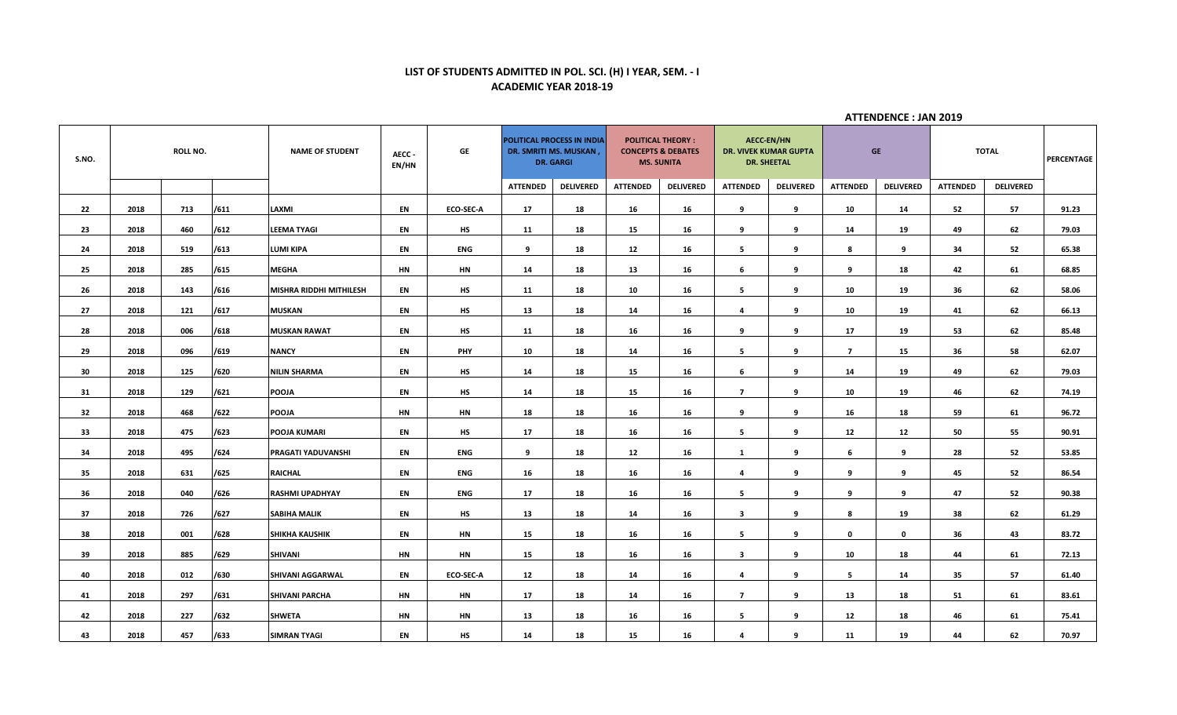# **LIST OF STUDENTS ADMITTED IN POL. SCI. (H) I YEAR, SEM. - I ACADEMIC YEAR 2018-19**

| S.NO. | ROLL NO. |             | <b>NAME OF STUDENT</b>         | AECC-<br>EN/HN | GE               | POLITICAL PROCESS IN INDIA<br>DR. SMRITI MS. MUSKAN,<br><b>DR. GARGI</b> |                  | <b>POLITICAL THEORY:</b><br><b>CONCEPTS &amp; DEBATES</b><br><b>MS. SUNITA</b> |                  | <b>AECC-EN/HN</b><br>DR. VIVEK KUMAR GUPTA<br><b>DR. SHEETAL</b> |                  | <b>GE</b>       |                  | <b>TOTAL</b>    |                  | <b>PERCENTAGE</b> |
|-------|----------|-------------|--------------------------------|----------------|------------------|--------------------------------------------------------------------------|------------------|--------------------------------------------------------------------------------|------------------|------------------------------------------------------------------|------------------|-----------------|------------------|-----------------|------------------|-------------------|
|       |          |             |                                |                |                  | <b>ATTENDED</b>                                                          | <b>DELIVERED</b> | <b>ATTENDED</b>                                                                | <b>DELIVERED</b> | <b>ATTENDED</b>                                                  | <b>DELIVERED</b> | <b>ATTENDED</b> | <b>DELIVERED</b> | <b>ATTENDED</b> | <b>DELIVERED</b> |                   |
| 22    | 2018     | /611<br>713 | LAXMI                          | EN             | <b>ECO-SEC-A</b> | 17                                                                       | 18               | 16                                                                             | 16               | 9                                                                | 9                | 10              | 14               | 52              | 57               | 91.23             |
| 23    | 2018     | 460<br>/612 | <b>LEEMA TYAGI</b>             | EN             | HS               | 11                                                                       | 18               | 15                                                                             | 16               | 9                                                                | 9                | 14              | 19               | 49              | 62               | 79.03             |
| 24    | 2018     | 519<br>/613 | LUMI KIPA                      | EN             | <b>ENG</b>       | 9                                                                        | 18               | 12                                                                             | 16               | -5                                                               | 9                | 8               | 9                | 34              | 52               | 65.38             |
| 25    | 2018     | /615<br>285 | <b>MEGHA</b>                   | <b>HN</b>      | ΗN               | 14                                                                       | 18               | 13                                                                             | 16               | 6                                                                | 9                | 9               | 18               | 42              | 61               | 68.85             |
| 26    | 2018     | /616<br>143 | <b>MISHRA RIDDHI MITHILESH</b> | EN             | HS               | 11                                                                       | 18               | 10                                                                             | 16               | -5                                                               | 9                | 10              | 19               | 36              | 62               | 58.06             |
| 27    | 2018     | 121<br>/617 | <b>MUSKAN</b>                  | EN             | <b>HS</b>        | 13                                                                       | 18               | 14                                                                             | 16               | 4                                                                | 9                | 10              | 19               | 41              | 62               | 66.13             |
| 28    | 2018     | /618<br>006 | <b>MUSKAN RAWAT</b>            | EN             | HS               | 11                                                                       | 18               | 16                                                                             | 16               | 9                                                                | 9                | 17              | 19               | 53              | 62               | 85.48             |
| 29    | 2018     | /619<br>096 | <b>NANCY</b>                   | EN             | PHY              | 10                                                                       | 18               | 14                                                                             | 16               | 5                                                                | 9                | $\overline{7}$  | 15               | 36              | 58               | 62.07             |
| 30    | 2018     | /620<br>125 | <b>NILIN SHARMA</b>            | EN             | <b>HS</b>        | 14                                                                       | 18               | 15                                                                             | 16               | 6                                                                | 9                | 14              | 19               | 49              | 62               | 79.03             |
| 31    | 2018     | 129<br>/621 | <b>POOJA</b>                   | EN             | <b>HS</b>        | 14                                                                       | 18               | 15                                                                             | 16               | $\overline{ }$                                                   | 9                | 10              | 19               | 46              | 62               | 74.19             |
| 32    | 2018     | /622<br>468 | <b>POOJA</b>                   | <b>HN</b>      | HN               | 18                                                                       | 18               | 16                                                                             | 16               | 9                                                                | 9                | 16              | 18               | 59              | 61               | 96.72             |
| 33    | 2018     | /623<br>475 | <b>POOJA KUMARI</b>            | EN             | <b>HS</b>        | 17                                                                       | 18               | 16                                                                             | 16               | - 5                                                              | 9                | 12              | 12               | 50              | 55               | 90.91             |
| 34    | 2018     | /624<br>495 | <b>PRAGATI YADUVANSHI</b>      | EN             | <b>ENG</b>       | 9                                                                        | 18               | 12                                                                             | 16               | $\mathbf{1}$                                                     | 9                | 6               | 9                | 28              | 52               | 53.85             |
| 35    | 2018     | /625<br>631 | <b>RAICHAL</b>                 | EN             | ENG              | 16                                                                       | 18               | 16                                                                             | 16               | 4                                                                | 9                | 9               | 9                | 45              | 52               | 86.54             |
| 36    | 2018     | 040<br>/626 | <b>RASHMI UPADHYAY</b>         | EN             | <b>ENG</b>       | 17                                                                       | 18               | 16                                                                             | 16               | 5                                                                | 9                | 9               | q                | 47              | 52               | 90.38             |
| 37    | 2018     | 726<br>/627 | <b>SABIHA MALIK</b>            | EN             | HS               | 13                                                                       | 18               | 14                                                                             | 16               | $\overline{\mathbf{3}}$                                          | 9                | 8               | 19               | 38              | 62               | 61.29             |
| 38    | 2018     | 001<br>/628 | <b>SHIKHA KAUSHIK</b>          | EN             | HN               | 15                                                                       | 18               | 16                                                                             | 16               | -5                                                               | 9                | $\mathbf 0$     | $\mathbf 0$      | 36              | 43               | 83.72             |
| 39    | 2018     | /629<br>885 | <b>SHIVANI</b>                 | HN             | HN               | 15                                                                       | 18               | 16                                                                             | 16               | $\mathbf{3}$                                                     | 9                | 10              | 18               | 44              | 61               | 72.13             |
| 40    | 2018     | /630<br>012 | SHIVANI AGGARWAL               | EN             | ECO-SEC-A        | 12                                                                       | 18               | 14                                                                             | 16               | $\overline{a}$                                                   | 9                | 5               | 14               | 35              | 57               | 61.40             |
| 41    | 2018     | 297<br>/631 | <b>SHIVANI PARCHA</b>          | <b>HN</b>      | HN               | 17                                                                       | 18               | 14                                                                             | 16               | $\overline{ }$                                                   | 9                | 13              | 18               | 51              | 61               | 83.61             |
| 42    | 2018     | 227<br>/632 | <b>SHWETA</b>                  | <b>HN</b>      | HN               | 13                                                                       | 18               | 16                                                                             | 16               | 5                                                                | 9                | 12              | 18               | 46              | 61               | 75.41             |
| 43    | 2018     | /633<br>457 | <b>SIMRAN TYAGI</b>            | EN             | <b>HS</b>        | 14                                                                       | 18               | 15                                                                             | 16               | 4                                                                | 9                | 11              | 19               | 44              | 62               | 70.97             |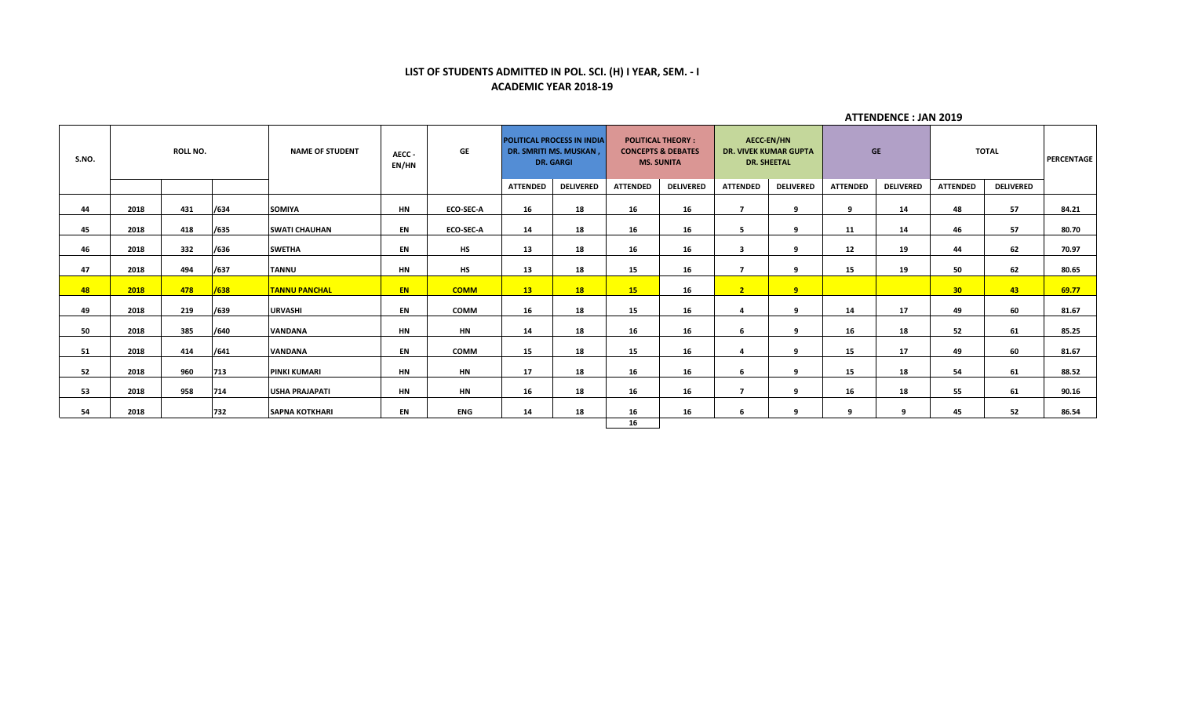# **LIST OF STUDENTS ADMITTED IN POL. SCI. (H) I YEAR, SEM. - I ACADEMIC YEAR 2018-19**

| S.NO. | <b>ROLL NO.</b> |     | <b>NAME OF STUDENT</b><br>AECC-<br>EN/HN |                       | GE        |                  | <b>POLITICAL PROCESS IN INDIA</b><br>DR. SMRITI MS. MUSKAN,<br><b>DR. GARGI</b> |                  | <b>POLITICAL THEORY:</b><br><b>CONCEPTS &amp; DEBATES</b><br><b>MS. SUNITA</b> |                  | AECC-EN/HN<br><b>DR. VIVEK KUMAR GUPTA</b><br><b>DR. SHEETAL</b> |                  | <b>GE</b>       |                  | <b>TOTAL</b>    |                  |       |
|-------|-----------------|-----|------------------------------------------|-----------------------|-----------|------------------|---------------------------------------------------------------------------------|------------------|--------------------------------------------------------------------------------|------------------|------------------------------------------------------------------|------------------|-----------------|------------------|-----------------|------------------|-------|
|       |                 |     |                                          |                       |           |                  | <b>ATTENDED</b>                                                                 | <b>DELIVERED</b> | <b>ATTENDED</b>                                                                | <b>DELIVERED</b> | <b>ATTENDED</b>                                                  | <b>DELIVERED</b> | <b>ATTENDED</b> | <b>DELIVERED</b> | <b>ATTENDED</b> | <b>DELIVERED</b> |       |
| 44    | 2018            | 431 | /634                                     | <b>SOMIYA</b>         | <b>HN</b> | <b>ECO-SEC-A</b> | 16                                                                              | 18               | 16                                                                             | 16               | $\overline{\phantom{a}}$                                         | q                | 9               | 14               | 48              | 57               | 84.21 |
| 45    | 2018            | 418 | /635                                     | <b>SWATI CHAUHAN</b>  | EN        | <b>ECO-SEC-A</b> | 14                                                                              | 18               | 16                                                                             | 16               | 5                                                                | q                | 11              | 14               | 46              | 57               | 80.70 |
| 46    | 2018            | 332 | /636                                     | <b>SWETHA</b>         | EN        | HS               | 13                                                                              | 18               | 16                                                                             | 16               | $\overline{\mathbf{3}}$                                          | q                | 12              | 19               | 44              | 62               | 70.97 |
| 47    | 2018            | 494 | /637                                     | <b>TANNU</b>          | HN        | HS               | 13                                                                              | 18               | 15                                                                             | 16               | $\overline{\phantom{a}}$                                         | q                | 15              | 19               | 50              | 62               | 80.65 |
| 48    | 2018            | 478 | /638                                     | <b>TANNU PANCHAL</b>  | EN.       | <b>COMM</b>      | 13 <sup>7</sup>                                                                 | 18               | <b>15</b>                                                                      | 16               | 2 <sup>7</sup>                                                   | 9                |                 |                  | 30 <sub>2</sub> | $-43$            | 69.77 |
| 49    | 2018            | 219 | /639                                     | URVASHI               | EN        | <b>COMM</b>      | 16                                                                              | 18               | 15                                                                             | 16               | 4                                                                | $\mathbf{q}$     | 14              | 17               | 49              | 60               | 81.67 |
| 50    | 2018            | 385 | /640                                     | <b>VANDANA</b>        | <b>HN</b> | <b>HN</b>        | 14                                                                              | 18               | 16                                                                             | 16               | 6                                                                | $\mathbf{q}$     | 16              | 18               | 52              | 61               | 85.25 |
| 51    | 2018            | 414 | /641                                     | <b>VANDANA</b>        | EN        | <b>COMM</b>      | 15                                                                              | 18               | 15                                                                             | 16               | 4                                                                | $\mathbf{q}$     | 15              | 17               | 49              | 60               | 81.67 |
| 52    | 2018            | 960 | 713                                      | <b>PINKI KUMARI</b>   | <b>HN</b> | <b>HN</b>        | 17                                                                              | 18               | 16                                                                             | 16               | 6                                                                | 9                | 15              | 18               | 54              | 61               | 88.52 |
| 53    | 2018            | 958 | 714                                      | <b>USHA PRAJAPATI</b> | <b>HN</b> | <b>HN</b>        | 16                                                                              | 18               | 16                                                                             | 16               | $\overline{ }$                                                   | 9                | 16              | 18               | 55              | 61               | 90.16 |
| 54    | 2018            |     | 732                                      | <b>SAPNA KOTKHARI</b> | EN        | ENG              | 14                                                                              | 18               | 16                                                                             | 16               | 6                                                                | ٩                | q               | $\Omega$         | 45              | 52               | 86.54 |
|       |                 |     |                                          |                       |           |                  |                                                                                 |                  | 16                                                                             |                  |                                                                  |                  |                 |                  |                 |                  |       |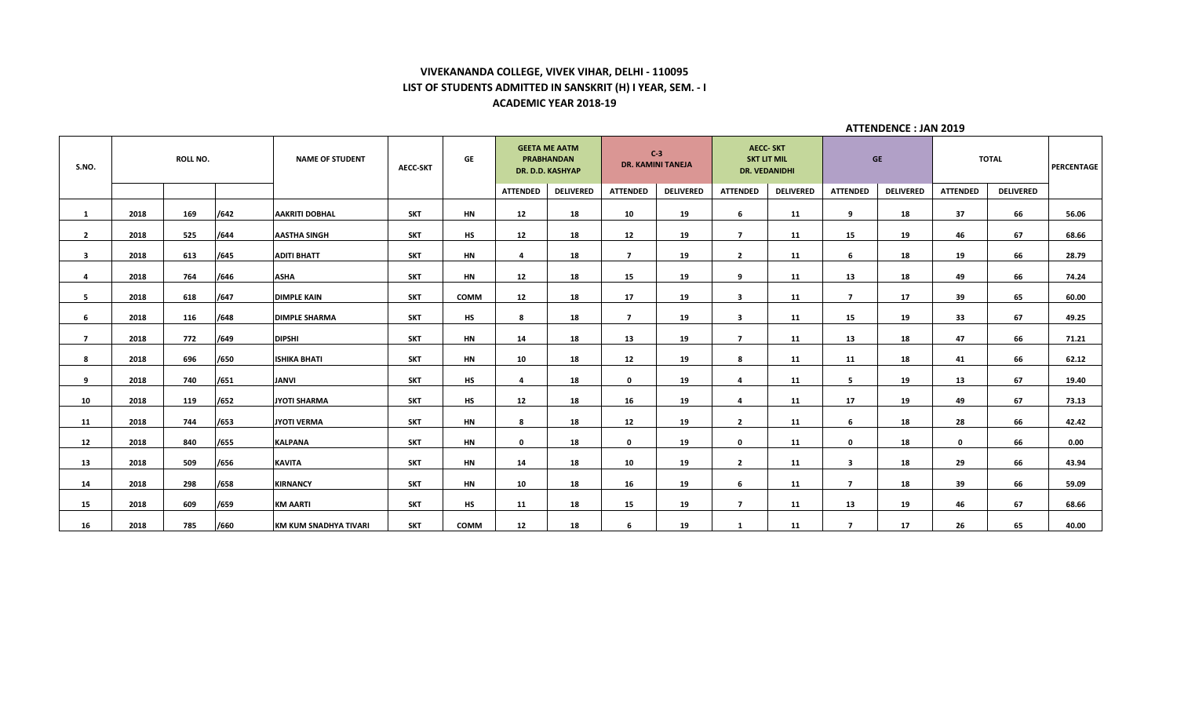# **VIVEKANANDA COLLEGE, VIVEK VIHAR, DELHI - 110095 LIST OF STUDENTS ADMITTED IN SANSKRIT (H) I YEAR, SEM. - I ACADEMIC YEAR 2018-19**

| S.NO.          | ROLL NO. |     | <b>NAME OF STUDENT</b> | <b>AECC-SKT</b>       | GE         | <b>GEETA ME AATM</b><br><b>PRABHANDAN</b><br>DR. D.D. KASHYAP |                 | $C-3$<br><b>DR. KAMINI TANEJA</b> |                 | <b>AECC-SKT</b><br><b>SKT LIT MIL</b><br><b>DR. VEDANIDHI</b> |                         | <b>GE</b>        |                         | <b>TOTAL</b>     |                 | PERCENTAGE       |       |
|----------------|----------|-----|------------------------|-----------------------|------------|---------------------------------------------------------------|-----------------|-----------------------------------|-----------------|---------------------------------------------------------------|-------------------------|------------------|-------------------------|------------------|-----------------|------------------|-------|
|                |          |     |                        |                       |            |                                                               | <b>ATTENDED</b> | <b>DELIVERED</b>                  | <b>ATTENDED</b> | <b>DELIVERED</b>                                              | <b>ATTENDED</b>         | <b>DELIVERED</b> | <b>ATTENDED</b>         | <b>DELIVERED</b> | <b>ATTENDED</b> | <b>DELIVERED</b> |       |
| $\mathbf{1}$   | 2018     | 169 | /642                   | <b>AAKRITI DOBHAL</b> | <b>SKT</b> | <b>HN</b>                                                     | 12              | 18                                | 10              | 19                                                            | 6                       | 11               | 9                       | 18               | 37              | 66               | 56.06 |
| $\overline{2}$ | 2018     | 525 | /644                   | <b>AASTHA SINGH</b>   | <b>SKT</b> | <b>HS</b>                                                     | 12              | 18                                | 12              | 19                                                            | $\overline{7}$          | 11               | 15                      | 19               | 46              | 67               | 68.66 |
| 3              | 2018     | 613 | /645                   | <b>ADITI BHATT</b>    | <b>SKT</b> | <b>HN</b>                                                     | 4               | 18                                | $\overline{7}$  | 19                                                            | $\overline{2}$          | 11               | 6                       | 18               | 19              | 66               | 28.79 |
| 4              | 2018     | 764 | /646                   | <b>ASHA</b>           | <b>SKT</b> | HN                                                            | 12              | 18                                | 15              | 19                                                            | 9                       | 11               | 13                      | 18               | 49              | 66               | 74.24 |
| 5              | 2018     | 618 | /647                   | <b>DIMPLE KAIN</b>    | <b>SKT</b> | COMM                                                          | 12              | 18                                | 17              | 19                                                            | $\mathbf{3}$            | 11               | $\overline{7}$          | 17               | 39              | 65               | 60.00 |
|                |          |     |                        |                       |            |                                                               |                 |                                   |                 |                                                               |                         |                  |                         |                  |                 |                  |       |
| 6              | 2018     | 116 | /648                   | <b>DIMPLE SHARMA</b>  | <b>SKT</b> | <b>HS</b>                                                     | 8               | 18                                | $\overline{ }$  | 19                                                            | $\overline{\mathbf{3}}$ | 11               | 15                      | 19               | 33              | 67               | 49.25 |
| $\overline{ }$ | 2018     | 772 | /649                   | <b>DIPSHI</b>         | <b>SKT</b> | HN                                                            | 14              | 18                                | 13              | 19                                                            | $\overline{ }$          | 11               | 13                      | 18               | 47              | 66               | 71.21 |
| 8              | 2018     | 696 | /650                   | <b>ISHIKA BHATI</b>   | <b>SKT</b> | HN                                                            | 10              | 18                                | 12              | 19                                                            | 8                       | 11               | 11                      | 18               | 41              | 66               | 62.12 |
| 9              | 2018     | 740 | /651                   | <b>JANVI</b>          | <b>SKT</b> | <b>HS</b>                                                     | $\overline{a}$  | 18                                | $\mathbf{0}$    | 19                                                            | $\overline{a}$          | 11               | 5                       | 19               | 13              | 67               | 19.40 |
| 10             | 2018     | 119 | /652                   | <b>JYOTI SHARMA</b>   | SKT        | <b>HS</b>                                                     | 12              | 18                                | 16              | 19                                                            | 4                       | 11               | 17                      | 19               | 49              | 67               | 73.13 |
| 11             | 2018     | 744 | /653                   | <b>JYOTI VERMA</b>    | <b>SKT</b> | HN                                                            | 8               | 18                                | 12              | 19                                                            | $\overline{2}$          | 11               | 6                       | 18               | 28              | 66               | 42.42 |
| 12             | 2018     | 840 | /655                   | <b>KALPANA</b>        | <b>SKT</b> | <b>HN</b>                                                     | $\mathbf 0$     | 18                                | $\mathbf 0$     | 19                                                            | $\mathbf{0}$            | 11               | $\mathbf 0$             | 18               | $\mathbf{0}$    | 66               | 0.00  |
|                |          |     |                        |                       |            |                                                               |                 |                                   |                 |                                                               |                         |                  |                         |                  |                 |                  |       |
| 13             | 2018     | 509 | /656                   | <b>KAVITA</b>         | <b>SKT</b> | HN                                                            | 14              | 18                                | 10              | 19                                                            | $\overline{2}$          | 11               | 3                       | 18               | 29              | 66               | 43.94 |
| 14             | 2018     | 298 | /658                   | <b>KIRNANCY</b>       | <b>SKT</b> | HN                                                            | 10              | 18                                | 16              | 19                                                            | 6                       | 11               | $\overline{7}$          | 18               | 39              | 66               | 59.09 |
| 15             | 2018     | 609 | /659                   | <b>KM AARTI</b>       | <b>SKT</b> | HS                                                            | 11              | 18                                | 15              | 19                                                            | $\overline{7}$          | 11               | 13                      | 19               | 46              | 67               | 68.66 |
| 16             | 2018     | 785 | /660                   | KM KUM SNADHYA TIVARI | <b>SKT</b> | <b>COMM</b>                                                   | 12              | 18                                | 6               | 19                                                            | -1                      | 11               | $\overline{\mathbf{z}}$ | 17               | 26              | 65               | 40.00 |